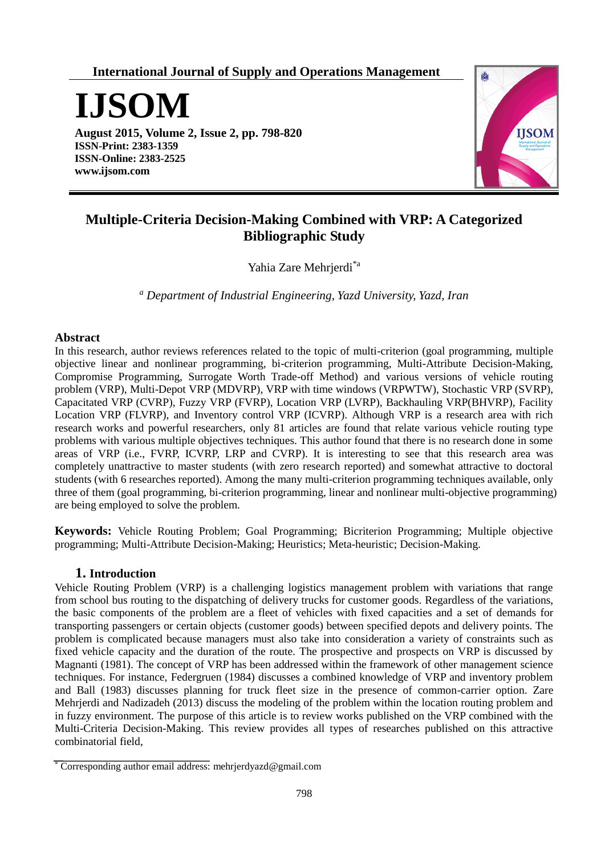**International Journal of Supply and Operations Management**

**IJSOM**

**August 2015, Volume 2, Issue 2, pp. 798-820 ISSN-Print: 2383-1359 ISSN-Online: 2383-2525 www.ijsom.com**



# **Multiple-Criteria Decision-Making Combined with VRP: A Categorized Bibliographic Study**

Yahia Zare Mehrjerdi\*a

*<sup>a</sup> Department of Industrial Engineering, Yazd University, Yazd, Iran*

# **Abstract**

In this research, author reviews references related to the topic of multi-criterion (goal programming, multiple objective linear and nonlinear programming, bi-criterion programming, Multi-Attribute Decision-Making, Compromise Programming, Surrogate Worth Trade-off Method) and various versions of vehicle routing problem (VRP), Multi-Depot VRP (MDVRP), VRP with time windows (VRPWTW), Stochastic VRP (SVRP), Capacitated VRP (CVRP), Fuzzy VRP (FVRP), Location VRP (LVRP), Backhauling VRP(BHVRP), Facility Location VRP (FLVRP), and Inventory control VRP (ICVRP). Although VRP is a research area with rich research works and powerful researchers, only 81 articles are found that relate various vehicle routing type problems with various multiple objectives techniques. This author found that there is no research done in some areas of VRP (i.e., FVRP, ICVRP, LRP and CVRP). It is interesting to see that this research area was completely unattractive to master students (with zero research reported) and somewhat attractive to doctoral students (with 6 researches reported). Among the many multi-criterion programming techniques available, only three of them (goal programming, bi-criterion programming, linear and nonlinear multi-objective programming) are being employed to solve the problem.

**Keywords:** Vehicle Routing Problem; Goal Programming; Bicriterion Programming; Multiple objective programming; Multi-Attribute Decision-Making; Heuristics; Meta-heuristic; Decision-Making.

# **1. Introduction**

Vehicle Routing Problem (VRP) is a challenging logistics management problem with variations that range from school bus routing to the dispatching of delivery trucks for customer goods. Regardless of the variations, the basic components of the problem are a fleet of vehicles with fixed capacities and a set of demands for transporting passengers or certain objects (customer goods) between specified depots and delivery points. The problem is complicated because managers must also take into consideration a variety of constraints such as fixed vehicle capacity and the duration of the route. The prospective and prospects on VRP is discussed by Magnanti (1981). The concept of VRP has been addressed within the framework of other management science techniques. For instance, Federgruen (1984) discusses a combined knowledge of VRP and inventory problem and Ball (1983) discusses planning for truck fleet size in the presence of common-carrier option. Zare Mehrjerdi and Nadizadeh (2013) discuss the modeling of the problem within the location routing problem and in fuzzy environment. The purpose of this article is to review works published on the VRP combined with the Multi-Criteria Decision-Making. This review provides all types of researches published on this attractive combinatorial field,

<sup>\*</sup> Corresponding author email address: mehrjerdyazd@gmail.com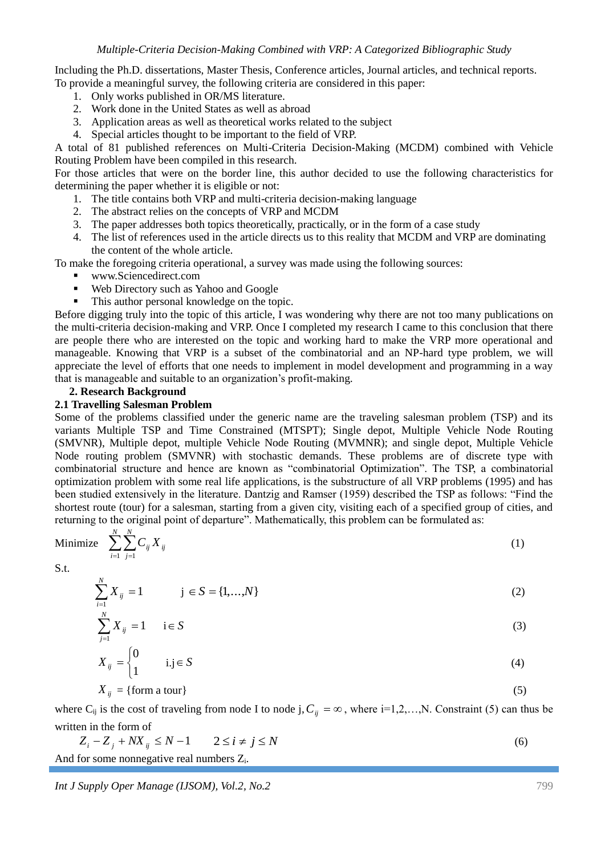Including the Ph.D. dissertations, Master Thesis, Conference articles, Journal articles, and technical reports. To provide a meaningful survey, the following criteria are considered in this paper:

- 1. Only works published in OR/MS literature.
- 2. Work done in the United States as well as abroad
- 3. Application areas as well as theoretical works related to the subject
- 4. Special articles thought to be important to the field of VRP.

A total of 81 published references on Multi-Criteria Decision-Making (MCDM) combined with Vehicle Routing Problem have been compiled in this research.

For those articles that were on the border line, this author decided to use the following characteristics for determining the paper whether it is eligible or not:

- 1. The title contains both VRP and multi-criteria decision-making language
- 2. The abstract relies on the concepts of VRP and MCDM
- 3. The paper addresses both topics theoretically, practically, or in the form of a case study
- 4. The list of references used in the article directs us to this reality that MCDM and VRP are dominating the content of the whole article.

To make the foregoing criteria operational, a survey was made using the following sources:

- www.Sciencedirect.com
- Web Directory such as Yahoo and Google
- This author personal knowledge on the topic.

Before digging truly into the topic of this article, I was wondering why there are not too many publications on the multi-criteria decision-making and VRP. Once I completed my research I came to this conclusion that there are people there who are interested on the topic and working hard to make the VRP more operational and manageable. Knowing that VRP is a subset of the combinatorial and an NP-hard type problem, we will appreciate the level of efforts that one needs to implement in model development and programming in a way that is manageable and suitable to an organization's profit-making.

### **2. Research Background**

### **2.1 Travelling Salesman Problem**

Some of the problems classified under the generic name are the traveling salesman problem (TSP) and its variants Multiple TSP and Time Constrained (MTSPT); Single depot, Multiple Vehicle Node Routing (SMVNR), Multiple depot, multiple Vehicle Node Routing (MVMNR); and single depot, Multiple Vehicle Node routing problem (SMVNR) with stochastic demands. These problems are of discrete type with combinatorial structure and hence are known as "combinatorial Optimization". The TSP, a combinatorial optimization problem with some real life applications, is the substructure of all VRP problems (1995) and has been studied extensively in the literature. Dantzig and Ramser (1959) described the TSP as follows: "Find the shortest route (tour) for a salesman, starting from a given city, visiting each of a specified group of cities, and returning to the original point of departure". Mathematically, this problem can be formulated as:

Minimize 
$$
\sum_{i=1}^{N} \sum_{j=1}^{N} C_{ij} X_{ij}
$$
 (1)

S.t.

$$
\sum_{i=1}^{N} X_{ij} = 1 \qquad j \in S = \{1, ..., N\}
$$
\n(2)

$$
\sum_{j=1}^{N} X_{ij} = 1 \qquad \text{i} \in S \tag{3}
$$

$$
X_{ij} = \begin{cases} 0 & \text{i,j} \in S \\ 1 & \text{otherwise} \end{cases} \tag{4}
$$

$$
X_{ij} = \{\text{form a tour}\}\tag{5}
$$

where C<sub>ij</sub> is the cost of traveling from node I to node j,  $C_{ij} = \infty$ , where i=1,2,...,N. Constraint (5) can thus be written in the form of

$$
Z_i - Z_j + N X_{ij} \le N - 1 \qquad 2 \le i \ne j \le N
$$
  
And for some nonnegative real numbers  $Z_i$ . (6)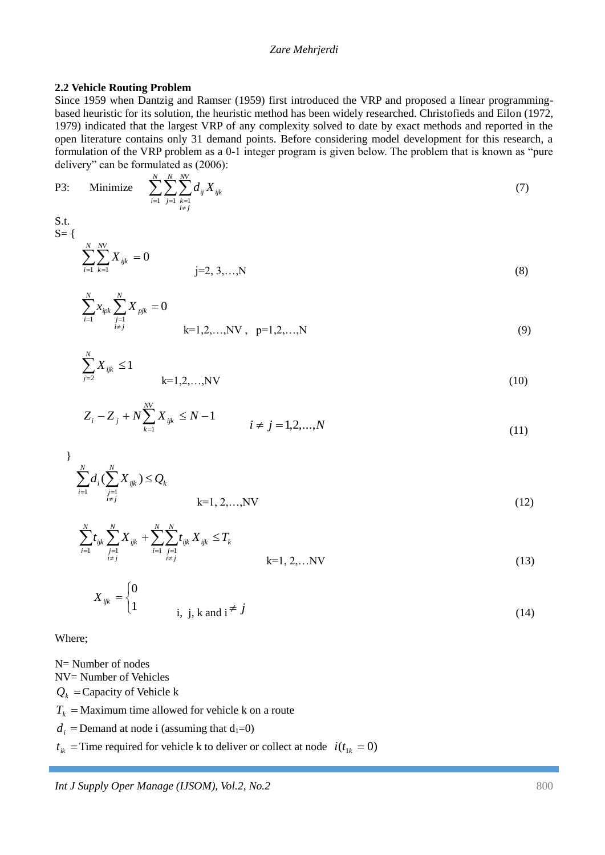#### **2.2 Vehicle Routing Problem**

Since 1959 when Dantzig and Ramser (1959) first introduced the VRP and proposed a linear programmingbased heuristic for its solution, the heuristic method has been widely researched. Christofieds and Eilon (1972, 1979) indicated that the largest VRP of any complexity solved to date by exact methods and reported in the open literature contains only 31 demand points. Before considering model development for this research, a formulation of the VRP problem as a 0-1 integer program is given below. The problem that is known as "pure delivery" can be formulated as (2006):

P3: Minimize 
$$
\sum_{i=1}^{N} \sum_{j=1}^{N} \sum_{\substack{k=1 \ i \neq j}}^{N} d_{ij} X_{ijk}
$$
(7)  
S.t.  $S = \{$ 

*i*

$$
\sum_{i=1}^{N} \sum_{k=1}^{N'} X_{ijk} = 0
$$
\n
$$
j=2, 3, ..., N
$$
\n(8)

$$
\sum_{i=1}^{N} x_{ipk} \sum_{\substack{j=1 \ i \neq j}}^{N} X_{pjk} = 0
$$
\n
$$
k=1,2,...,NV, p=1,2,...,N
$$
\n(9)

$$
\sum_{j=2}^{N} X_{ijk} \le 1
$$
\n
$$
k=1,2,...,NV
$$
\n(10)

$$
Z_i - Z_j + N \sum_{k=1}^{N} X_{ijk} \le N - 1 \qquad i \ne j = 1, 2, ..., N \qquad (11)
$$

$$
\sum_{i=1}^{N} d_i (\sum_{\substack{j=1 \ i \neq j}}^{N} X_{ijk}) \le Q_k
$$
\n
$$
k=1, 2, ..., NV
$$
\n(12)

$$
\sum_{i=1}^{N} t_{ijk} \sum_{\substack{j=1 \ i \neq j}}^{N} X_{ijk} + \sum_{i=1}^{N} \sum_{\substack{j=1 \ i \neq j}}^{N} t_{ijk} X_{ijk} \leq T_k
$$
\n
$$
k=1, 2, ...NV
$$
\n(13)

$$
X_{ijk} = \begin{cases} 0 & \text{if } i, j, k \text{ and } i \neq j \\ 1 & \text{if } i \neq j \end{cases}
$$
 (14)

Where;

N= Number of nodes

NV= Number of Vehicles

 $Q_k$  = Capacity of Vehicle k

 $T_k$  = Maximum time allowed for vehicle k on a route

 $d_i$  = Demand at node i (assuming that  $d_1=0$ )

 $t_{ik}$  = Time required for vehicle k to deliver or collect at node  $i(t_{1k} = 0)$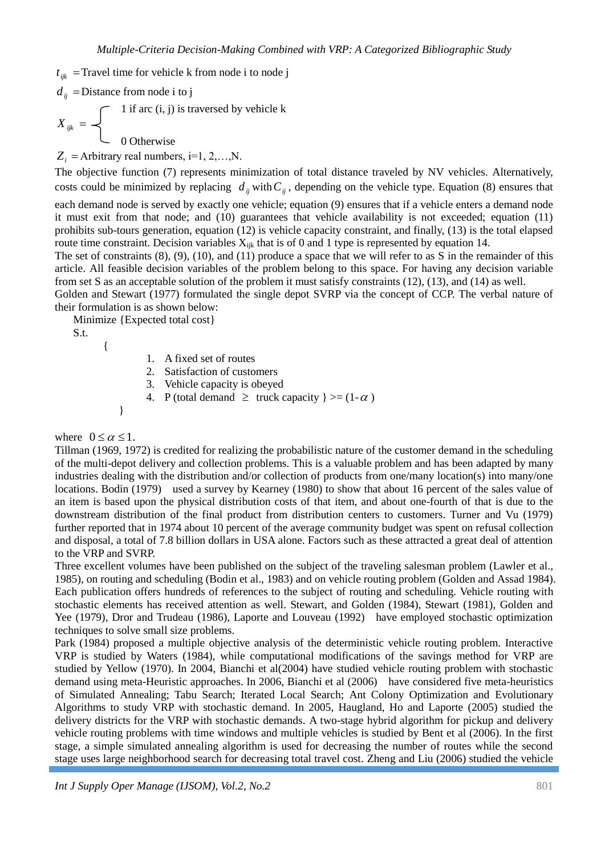$t_{ijk}$  = Travel time for vehicle k from node i to node j

*dij* Distance from node i to j

 $\bigcap$  1 if arc (i, j) is traversed by vehicle k  $X_{ijk} =$ C 0 Otherwise

 $Z_i$  = Arbitrary real numbers, i=1, 2,...,N.

The objective function (7) represents minimization of total distance traveled by NV vehicles. Alternatively, costs could be minimized by replacing  $d_{ij}$  with  $C_{ij}$ , depending on the vehicle type. Equation (8) ensures that each demand node is served by exactly one vehicle; equation (9) ensures that if a vehicle enters a demand node it must exit from that node; and (10) guarantees that vehicle availability is not exceeded; equation (11) prohibits sub-tours generation, equation (12) is vehicle capacity constraint, and finally, (13) is the total elapsed route time constraint. Decision variables  $X_{ijk}$  that is of 0 and 1 type is represented by equation 14.

The set of constraints  $(8)$ ,  $(9)$ ,  $(10)$ , and  $(11)$  produce a space that we will refer to as S in the remainder of this article. All feasible decision variables of the problem belong to this space. For having any decision variable from set S as an acceptable solution of the problem it must satisfy constraints (12), (13), and (14) as well.

Golden and Stewart (1977) formulated the single depot SVRP via the concept of CCP. The verbal nature of their formulation is as shown below:

Minimize {Expected total cost}

S.t.

{

1. A fixed set of routes

- 2. Satisfaction of customers
- 3. Vehicle capacity is obeyed
- 4. P (total demand  $\geq$  truck capacity  $\geq$  = (1- $\alpha$ )

```
}
```
### where  $0 \le \alpha \le 1$ .

Tillman (1969, 1972) is credited for realizing the probabilistic nature of the customer demand in the scheduling of the multi-depot delivery and collection problems. This is a valuable problem and has been adapted by many industries dealing with the distribution and/or collection of products from one/many location(s) into many/one locations. Bodin (1979) used a survey by Kearney (1980) to show that about 16 percent of the sales value of an item is based upon the physical distribution costs of that item, and about one-fourth of that is due to the downstream distribution of the final product from distribution centers to customers. Turner and Vu (1979) further reported that in 1974 about 10 percent of the average community budget was spent on refusal collection and disposal, a total of 7.8 billion dollars in USA alone. Factors such as these attracted a great deal of attention to the VRP and SVRP.

Three excellent volumes have been published on the subject of the traveling salesman problem (Lawler et al., 1985), on routing and scheduling (Bodin et al., 1983) and on vehicle routing problem (Golden and Assad 1984). Each publication offers hundreds of references to the subject of routing and scheduling. Vehicle routing with stochastic elements has received attention as well. Stewart, and Golden (1984), Stewart (1981), Golden and Yee (1979), Dror and Trudeau (1986), Laporte and Louveau (1992) have employed stochastic optimization techniques to solve small size problems.

Park (1984) proposed a multiple objective analysis of the deterministic vehicle routing problem. Interactive VRP is studied by Waters (1984), while computational modifications of the savings method for VRP are studied by Yellow (1970). In 2004, Bianchi et al(2004) have studied vehicle routing problem with stochastic demand using meta-Heuristic approaches. In 2006, Bianchi et al (2006) have considered five meta-heuristics of Simulated Annealing; Tabu Search; Iterated Local Search; Ant Colony Optimization and Evolutionary Algorithms to study VRP with stochastic demand. In 2005, Haugland, Ho and Laporte (2005) studied the delivery districts for the VRP with stochastic demands. A two-stage hybrid algorithm for pickup and delivery vehicle routing problems with time windows and multiple vehicles is studied by Bent et al (2006). In the first stage, a simple simulated annealing algorithm is used for decreasing the number of routes while the second stage uses large neighborhood search for decreasing total travel cost. Zheng and Liu (2006) studied the vehicle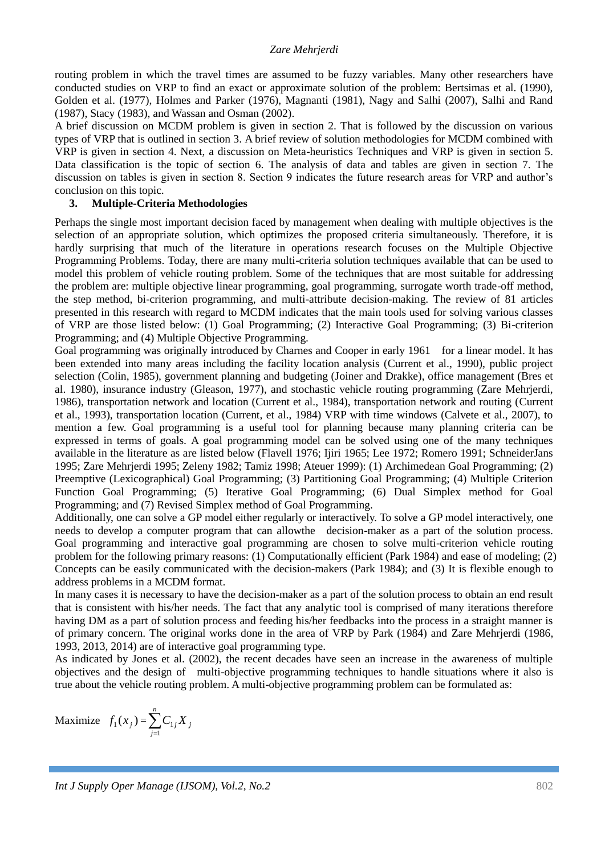routing problem in which the travel times are assumed to be fuzzy variables. Many other researchers have conducted studies on VRP to find an exact or approximate solution of the problem: Bertsimas et al. (1990), Golden et al. (1977), Holmes and Parker (1976), Magnanti (1981), Nagy and Salhi (2007), Salhi and Rand (1987), Stacy (1983), and Wassan and Osman (2002).

A brief discussion on MCDM problem is given in section 2. That is followed by the discussion on various types of VRP that is outlined in section 3. A brief review of solution methodologies for MCDM combined with VRP is given in section 4. Next, a discussion on Meta-heuristics Techniques and VRP is given in section 5. Data classification is the topic of section 6. The analysis of data and tables are given in section 7. The discussion on tables is given in section 8. Section 9 indicates the future research areas for VRP and author's conclusion on this topic.

#### **3. Multiple-Criteria Methodologies**

Perhaps the single most important decision faced by management when dealing with multiple objectives is the selection of an appropriate solution, which optimizes the proposed criteria simultaneously. Therefore, it is hardly surprising that much of the literature in operations research focuses on the Multiple Objective Programming Problems. Today, there are many multi-criteria solution techniques available that can be used to model this problem of vehicle routing problem. Some of the techniques that are most suitable for addressing the problem are: multiple objective linear programming, goal programming, surrogate worth trade-off method, the step method, bi-criterion programming, and multi-attribute decision-making. The review of 81 articles presented in this research with regard to MCDM indicates that the main tools used for solving various classes of VRP are those listed below: (1) Goal Programming; (2) Interactive Goal Programming; (3) Bi-criterion Programming; and (4) Multiple Objective Programming.

Goal programming was originally introduced by Charnes and Cooper in early 1961 for a linear model. It has been extended into many areas including the facility location analysis (Current et al., 1990), public project selection (Colin, 1985), government planning and budgeting (Joiner and Drakke), office management (Bres et al. 1980), insurance industry (Gleason, 1977), and stochastic vehicle routing programming (Zare Mehrjerdi, 1986), transportation network and location (Current et al., 1984), transportation network and routing (Current et al., 1993), transportation location (Current, et al., 1984) VRP with time windows (Calvete et al., 2007), to mention a few. Goal programming is a useful tool for planning because many planning criteria can be expressed in terms of goals. A goal programming model can be solved using one of the many techniques available in the literature as are listed below (Flavell 1976; Ijiri 1965; Lee 1972; Romero 1991; SchneiderJans 1995; Zare Mehrjerdi 1995; Zeleny 1982; Tamiz 1998; Ateuer 1999): (1) Archimedean Goal Programming; (2) Preemptive (Lexicographical) Goal Programming; (3) Partitioning Goal Programming; (4) Multiple Criterion Function Goal Programming; (5) Iterative Goal Programming; (6) Dual Simplex method for Goal Programming; and (7) Revised Simplex method of Goal Programming.

Additionally, one can solve a GP model either regularly or interactively. To solve a GP model interactively, one needs to develop a computer program that can allowthe decision-maker as a part of the solution process. Goal programming and interactive goal programming are chosen to solve multi-criterion vehicle routing problem for the following primary reasons: (1) Computationally efficient (Park 1984) and ease of modeling; (2) Concepts can be easily communicated with the decision-makers (Park 1984); and (3) It is flexible enough to address problems in a MCDM format.

In many cases it is necessary to have the decision-maker as a part of the solution process to obtain an end result that is consistent with his/her needs. The fact that any analytic tool is comprised of many iterations therefore having DM as a part of solution process and feeding his/her feedbacks into the process in a straight manner is of primary concern. The original works done in the area of VRP by Park (1984) and Zare Mehrjerdi (1986, 1993, 2013, 2014) are of interactive goal programming type.

As indicated by Jones et al. (2002), the recent decades have seen an increase in the awareness of multiple objectives and the design of multi-objective programming techniques to handle situations where it also is true about the vehicle routing problem. A multi-objective programming problem can be formulated as:

$$
\text{Maximize} \quad f_1(x_j) = \sum_{j=1}^n C_{1j} X_j
$$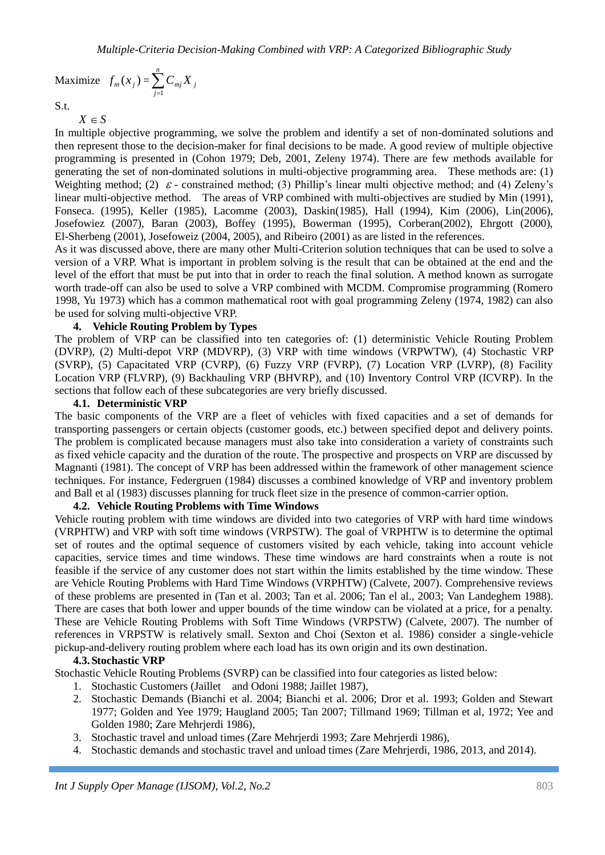Maximize  $f_m(x_j) = \sum_{j=1}^n$ *j*  $C_{mj} X_j$ 1

S.t.

 $X \in S$ 

In multiple objective programming, we solve the problem and identify a set of non-dominated solutions and then represent those to the decision-maker for final decisions to be made. A good review of multiple objective programming is presented in (Cohon 1979; Deb, 2001, Zeleny 1974). There are few methods available for generating the set of non-dominated solutions in multi-objective programming area. These methods are: (1) Weighting method; (2)  $\varepsilon$  - constrained method; (3) Phillip's linear multi objective method; and (4) Zeleny's linear multi-objective method. The areas of VRP combined with multi-objectives are studied by Min (1991), Fonseca. (1995), Keller (1985), Lacomme (2003), Daskin(1985), Hall (1994), Kim (2006), Lin(2006), Josefowiez (2007), Baran (2003), Boffey (1995), Bowerman (1995), Corberan(2002), Ehrgott (2000), El-Sherbeng (2001), Josefoweiz (2004, 2005), and Ribeiro (2001) as are listed in the references.

As it was discussed above, there are many other Multi-Criterion solution techniques that can be used to solve a version of a VRP. What is important in problem solving is the result that can be obtained at the end and the level of the effort that must be put into that in order to reach the final solution. A method known as surrogate worth trade-off can also be used to solve a VRP combined with MCDM. Compromise programming (Romero 1998, Yu 1973) which has a common mathematical root with goal programming Zeleny (1974, 1982) can also be used for solving multi-objective VRP.

### **4. Vehicle Routing Problem by Types**

The problem of VRP can be classified into ten categories of: (1) deterministic Vehicle Routing Problem (DVRP), (2) Multi-depot VRP (MDVRP), (3) VRP with time windows (VRPWTW), (4) Stochastic VRP (SVRP), (5) Capacitated VRP (CVRP), (6) Fuzzy VRP (FVRP), (7) Location VRP (LVRP), (8) Facility Location VRP (FLVRP), (9) Backhauling VRP (BHVRP), and (10) Inventory Control VRP (ICVRP). In the sections that follow each of these subcategories are very briefly discussed.

#### **4.1. Deterministic VRP**

The basic components of the VRP are a fleet of vehicles with fixed capacities and a set of demands for transporting passengers or certain objects (customer goods, etc.) between specified depot and delivery points. The problem is complicated because managers must also take into consideration a variety of constraints such as fixed vehicle capacity and the duration of the route. The prospective and prospects on VRP are discussed by Magnanti (1981). The concept of VRP has been addressed within the framework of other management science techniques. For instance, Federgruen (1984) discusses a combined knowledge of VRP and inventory problem and Ball et al (1983) discusses planning for truck fleet size in the presence of common-carrier option.

### **4.2. Vehicle Routing Problems with Time Windows**

Vehicle routing problem with time windows are divided into two categories of VRP with hard time windows (VRPHTW) and VRP with soft time windows (VRPSTW). The goal of VRPHTW is to determine the optimal set of routes and the optimal sequence of customers visited by each vehicle, taking into account vehicle capacities, service times and time windows. These time windows are hard constraints when a route is not feasible if the service of any customer does not start within the limits established by the time window. These are Vehicle Routing Problems with Hard Time Windows (VRPHTW) (Calvete, 2007). Comprehensive reviews of these problems are presented in (Tan et al. 2003; Tan et al. 2006; Tan el al., 2003; Van Landeghem 1988). There are cases that both lower and upper bounds of the time window can be violated at a price, for a penalty. These are Vehicle Routing Problems with Soft Time Windows (VRPSTW) (Calvete, 2007). The number of references in VRPSTW is relatively small. Sexton and Choi (Sexton et al. 1986) consider a single-vehicle pickup-and-delivery routing problem where each load has its own origin and its own destination.

### **4.3.Stochastic VRP**

Stochastic Vehicle Routing Problems (SVRP) can be classified into four categories as listed below:

- 1. Stochastic Customers (Jaillet and Odoni 1988; Jaillet 1987),
- 2. Stochastic Demands (Bianchi et al. 2004; Bianchi et al. 2006; Dror et al. 1993; Golden and Stewart 1977; Golden and Yee 1979; Haugland 2005; Tan 2007; Tillmand 1969; Tillman et al, 1972; Yee and Golden 1980; Zare Mehrjerdi 1986),
- 3. Stochastic travel and unload times (Zare Mehrjerdi 1993; Zare Mehrjerdi 1986),
- 4. Stochastic demands and stochastic travel and unload times (Zare Mehrjerdi, 1986, 2013, and 2014).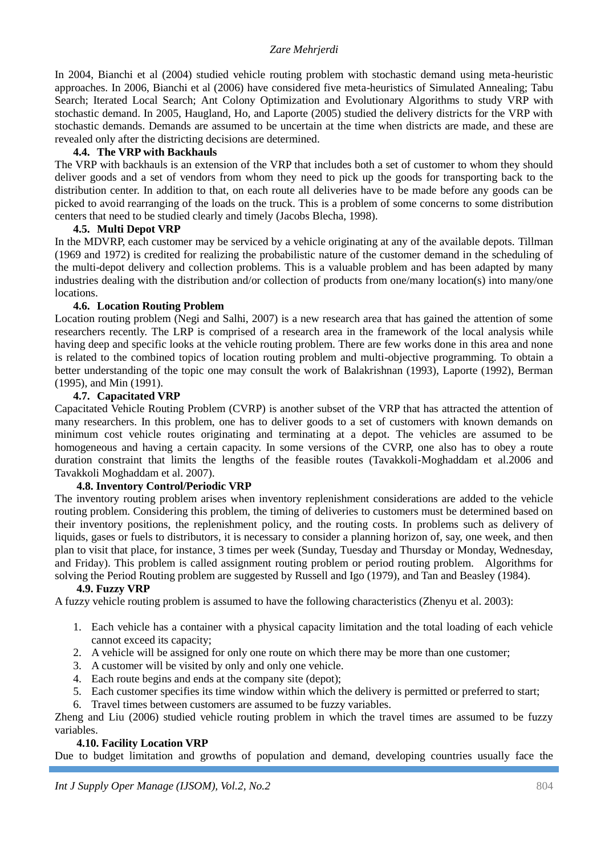In 2004, Bianchi et al (2004) studied vehicle routing problem with stochastic demand using meta-heuristic approaches. In 2006, Bianchi et al (2006) have considered five meta-heuristics of Simulated Annealing; Tabu Search; Iterated Local Search; Ant Colony Optimization and Evolutionary Algorithms to study VRP with stochastic demand. In 2005, Haugland, Ho, and Laporte (2005) studied the delivery districts for the VRP with stochastic demands. Demands are assumed to be uncertain at the time when districts are made, and these are revealed only after the districting decisions are determined.

### **4.4. The VRP with Backhauls**

The VRP with backhauls is an extension of the VRP that includes both a set of customer to whom they should deliver goods and a set of vendors from whom they need to pick up the goods for transporting back to the distribution center. In addition to that, on each route all deliveries have to be made before any goods can be picked to avoid rearranging of the loads on the truck. This is a problem of some concerns to some distribution centers that need to be studied clearly and timely (Jacobs Blecha, 1998).

### **4.5. Multi Depot VRP**

In the MDVRP, each customer may be serviced by a vehicle originating at any of the available depots. Tillman (1969 and 1972) is credited for realizing the probabilistic nature of the customer demand in the scheduling of the multi-depot delivery and collection problems. This is a valuable problem and has been adapted by many industries dealing with the distribution and/or collection of products from one/many location(s) into many/one locations.

### **4.6. Location Routing Problem**

Location routing problem (Negi and Salhi, 2007) is a new research area that has gained the attention of some researchers recently. The LRP is comprised of a research area in the framework of the local analysis while having deep and specific looks at the vehicle routing problem. There are few works done in this area and none is related to the combined topics of location routing problem and multi-objective programming. To obtain a better understanding of the topic one may consult the work of Balakrishnan (1993), Laporte (1992), Berman (1995), and Min (1991).

### **4.7. Capacitated VRP**

Capacitated Vehicle Routing Problem (CVRP) is another subset of the VRP that has attracted the attention of many researchers. In this problem, one has to deliver goods to a set of customers with known demands on minimum cost vehicle routes originating and terminating at a depot. The vehicles are assumed to be homogeneous and having a certain capacity. In some versions of the CVRP, one also has to obey a route duration constraint that limits the lengths of the feasible routes (Tavakkoli-Moghaddam et al.2006 and Tavakkoli Moghaddam et al. 2007).

# **4.8. Inventory Control/Periodic VRP**

The inventory routing problem arises when inventory replenishment considerations are added to the vehicle routing problem. Considering this problem, the timing of deliveries to customers must be determined based on their inventory positions, the replenishment policy, and the routing costs. In problems such as delivery of liquids, gases or fuels to distributors, it is necessary to consider a planning horizon of, say, one week, and then plan to visit that place, for instance, 3 times per week (Sunday, Tuesday and Thursday or Monday, Wednesday, and Friday). This problem is called assignment routing problem or period routing problem. Algorithms for solving the Period Routing problem are suggested by Russell and Igo (1979), and Tan and Beasley (1984).

### **4.9. Fuzzy VRP**

A fuzzy vehicle routing problem is assumed to have the following characteristics (Zhenyu et al. 2003):

- 1. Each vehicle has a container with a physical capacity limitation and the total loading of each vehicle cannot exceed its capacity;
- 2. A vehicle will be assigned for only one route on which there may be more than one customer;
- 3. A customer will be visited by only and only one vehicle.
- 4. Each route begins and ends at the company site (depot);
- 5. Each customer specifies its time window within which the delivery is permitted or preferred to start;
- 6. Travel times between customers are assumed to be fuzzy variables.

Zheng and Liu (2006) studied vehicle routing problem in which the travel times are assumed to be fuzzy variables.

### **4.10. Facility Location VRP**

Due to budget limitation and growths of population and demand, developing countries usually face the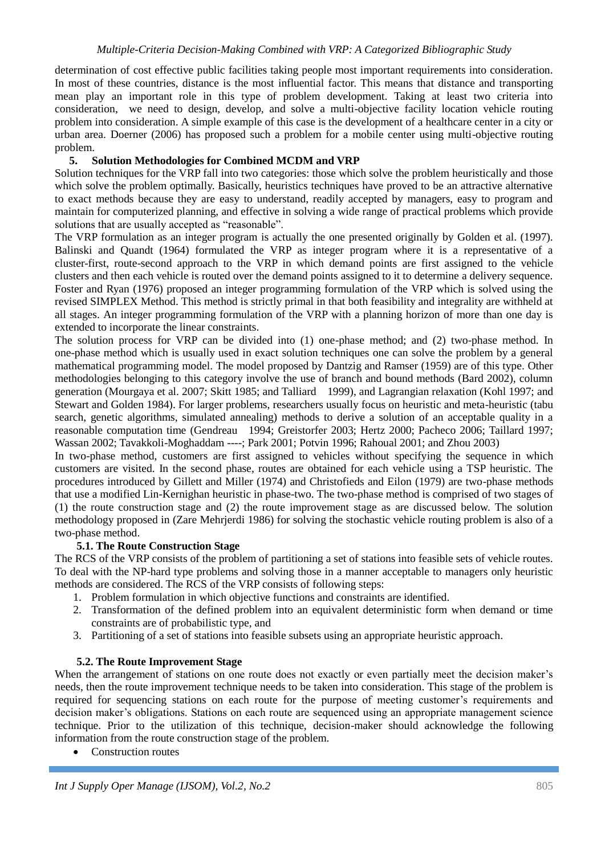determination of cost effective public facilities taking people most important requirements into consideration. In most of these countries, distance is the most influential factor. This means that distance and transporting mean play an important role in this type of problem development. Taking at least two criteria into consideration, we need to design, develop, and solve a multi-objective facility location vehicle routing problem into consideration. A simple example of this case is the development of a healthcare center in a city or urban area. Doerner (2006) has proposed such a problem for a mobile center using multi-objective routing problem.

# **5. Solution Methodologies for Combined MCDM and VRP**

Solution techniques for the VRP fall into two categories: those which solve the problem heuristically and those which solve the problem optimally. Basically, heuristics techniques have proved to be an attractive alternative to exact methods because they are easy to understand, readily accepted by managers, easy to program and maintain for computerized planning, and effective in solving a wide range of practical problems which provide solutions that are usually accepted as "reasonable".

The VRP formulation as an integer program is actually the one presented originally by Golden et al. (1997). Balinski and Quandt (1964) formulated the VRP as integer program where it is a representative of a cluster-first, route-second approach to the VRP in which demand points are first assigned to the vehicle clusters and then each vehicle is routed over the demand points assigned to it to determine a delivery sequence. Foster and Ryan (1976) proposed an integer programming formulation of the VRP which is solved using the revised SIMPLEX Method. This method is strictly primal in that both feasibility and integrality are withheld at all stages. An integer programming formulation of the VRP with a planning horizon of more than one day is extended to incorporate the linear constraints.

The solution process for VRP can be divided into (1) one-phase method; and (2) two-phase method. In one-phase method which is usually used in exact solution techniques one can solve the problem by a general mathematical programming model. The model proposed by Dantzig and Ramser (1959) are of this type. Other methodologies belonging to this category involve the use of branch and bound methods (Bard 2002), column generation (Mourgaya et al. 2007; Skitt 1985; and Talliard 1999), and Lagrangian relaxation (Kohl 1997; and Stewart and Golden 1984). For larger problems, researchers usually focus on heuristic and meta-heuristic (tabu search, genetic algorithms, simulated annealing) methods to derive a solution of an acceptable quality in a reasonable computation time (Gendreau 1994; Greistorfer 2003; Hertz 2000; Pacheco 2006; Taillard 1997; Wassan 2002; Tavakkoli-Moghaddam ----; Park 2001; Potvin 1996; Rahoual 2001; and Zhou 2003)

In two-phase method, customers are first assigned to vehicles without specifying the sequence in which customers are visited. In the second phase, routes are obtained for each vehicle using a TSP heuristic. The procedures introduced by Gillett and Miller (1974) and Christofieds and Eilon (1979) are two-phase methods that use a modified Lin-Kernighan heuristic in phase-two. The two-phase method is comprised of two stages of (1) the route construction stage and (2) the route improvement stage as are discussed below. The solution methodology proposed in (Zare Mehrjerdi 1986) for solving the stochastic vehicle routing problem is also of a two-phase method.

# **5.1. The Route Construction Stage**

The RCS of the VRP consists of the problem of partitioning a set of stations into feasible sets of vehicle routes. To deal with the NP-hard type problems and solving those in a manner acceptable to managers only heuristic methods are considered. The RCS of the VRP consists of following steps:

- 1. Problem formulation in which objective functions and constraints are identified.
- 2. Transformation of the defined problem into an equivalent deterministic form when demand or time constraints are of probabilistic type, and
- 3. Partitioning of a set of stations into feasible subsets using an appropriate heuristic approach.

# **5.2. The Route Improvement Stage**

When the arrangement of stations on one route does not exactly or even partially meet the decision maker's needs, then the route improvement technique needs to be taken into consideration. This stage of the problem is required for sequencing stations on each route for the purpose of meeting customer's requirements and decision maker's obligations. Stations on each route are sequenced using an appropriate management science technique. Prior to the utilization of this technique, decision-maker should acknowledge the following information from the route construction stage of the problem.

Construction routes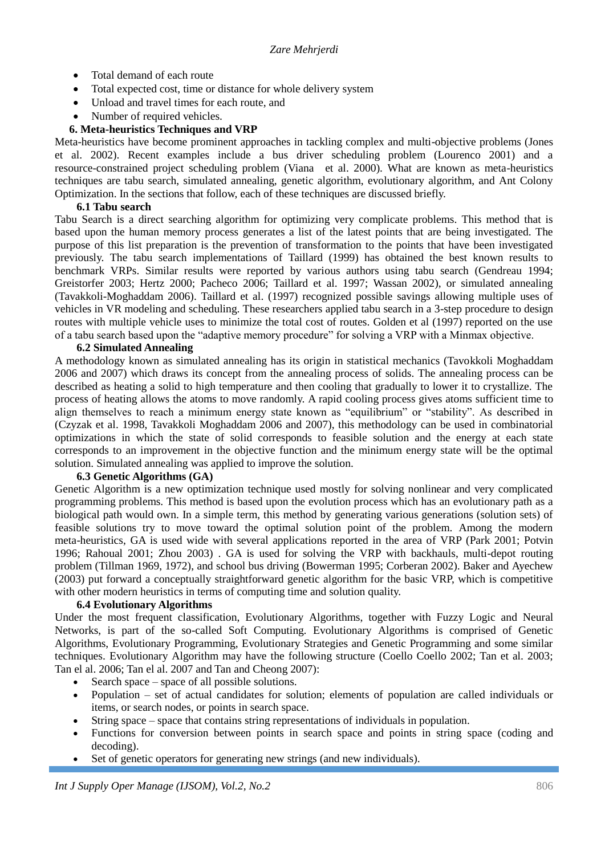- Total demand of each route
- Total expected cost, time or distance for whole delivery system
- Unload and travel times for each route, and
- Number of required vehicles.

# **6. Meta-heuristics Techniques and VRP**

Meta-heuristics have become prominent approaches in tackling complex and multi-objective problems (Jones et al. 2002). Recent examples include a bus driver scheduling problem (Lourenco 2001) and a resource-constrained project scheduling problem (Viana et al. 2000). What are known as meta-heuristics techniques are tabu search, simulated annealing, genetic algorithm, evolutionary algorithm, and Ant Colony Optimization. In the sections that follow, each of these techniques are discussed briefly.

### **6.1 Tabu search**

Tabu Search is a direct searching algorithm for optimizing very complicate problems. This method that is based upon the human memory process generates a list of the latest points that are being investigated. The purpose of this list preparation is the prevention of transformation to the points that have been investigated previously. The tabu search implementations of Taillard (1999) has obtained the best known results to benchmark VRPs. Similar results were reported by various authors using tabu search (Gendreau 1994; Greistorfer 2003; Hertz 2000; Pacheco 2006; Taillard et al. 1997; Wassan 2002), or simulated annealing (Tavakkoli-Moghaddam 2006). Taillard et al. (1997) recognized possible savings allowing multiple uses of vehicles in VR modeling and scheduling. These researchers applied tabu search in a 3-step procedure to design routes with multiple vehicle uses to minimize the total cost of routes. Golden et al (1997) reported on the use of a tabu search based upon the "adaptive memory procedure" for solving a VRP with a Minmax objective.

### **6.2 Simulated Annealing**

A methodology known as simulated annealing has its origin in statistical mechanics (Tavokkoli Moghaddam 2006 and 2007) which draws its concept from the annealing process of solids. The annealing process can be described as heating a solid to high temperature and then cooling that gradually to lower it to crystallize. The process of heating allows the atoms to move randomly. A rapid cooling process gives atoms sufficient time to align themselves to reach a minimum energy state known as "equilibrium" or "stability". As described in (Czyzak et al. 1998, Tavakkoli Moghaddam 2006 and 2007), this methodology can be used in combinatorial optimizations in which the state of solid corresponds to feasible solution and the energy at each state corresponds to an improvement in the objective function and the minimum energy state will be the optimal solution. Simulated annealing was applied to improve the solution.

### **6.3 Genetic Algorithms (GA)**

Genetic Algorithm is a new optimization technique used mostly for solving nonlinear and very complicated programming problems. This method is based upon the evolution process which has an evolutionary path as a biological path would own. In a simple term, this method by generating various generations (solution sets) of feasible solutions try to move toward the optimal solution point of the problem. Among the modern meta-heuristics, GA is used wide with several applications reported in the area of VRP (Park 2001; Potvin 1996; Rahoual 2001; Zhou 2003) . GA is used for solving the VRP with backhauls, multi-depot routing problem (Tillman 1969, 1972), and school bus driving (Bowerman 1995; Corberan 2002). Baker and Ayechew (2003) put forward a conceptually straightforward genetic algorithm for the basic VRP, which is competitive with other modern heuristics in terms of computing time and solution quality.

### **6.4 Evolutionary Algorithms**

Under the most frequent classification, Evolutionary Algorithms, together with Fuzzy Logic and Neural Networks, is part of the so-called Soft Computing. Evolutionary Algorithms is comprised of Genetic Algorithms, Evolutionary Programming, Evolutionary Strategies and Genetic Programming and some similar techniques. Evolutionary Algorithm may have the following structure (Coello Coello 2002; Tan et al. 2003; Tan el al. 2006; Tan el al. 2007 and Tan and Cheong 2007):

- Search space space of all possible solutions.
- Population set of actual candidates for solution; elements of population are called individuals or items, or search nodes, or points in search space.
- String space space that contains string representations of individuals in population.
- Functions for conversion between points in search space and points in string space (coding and decoding).
- Set of genetic operators for generating new strings (and new individuals).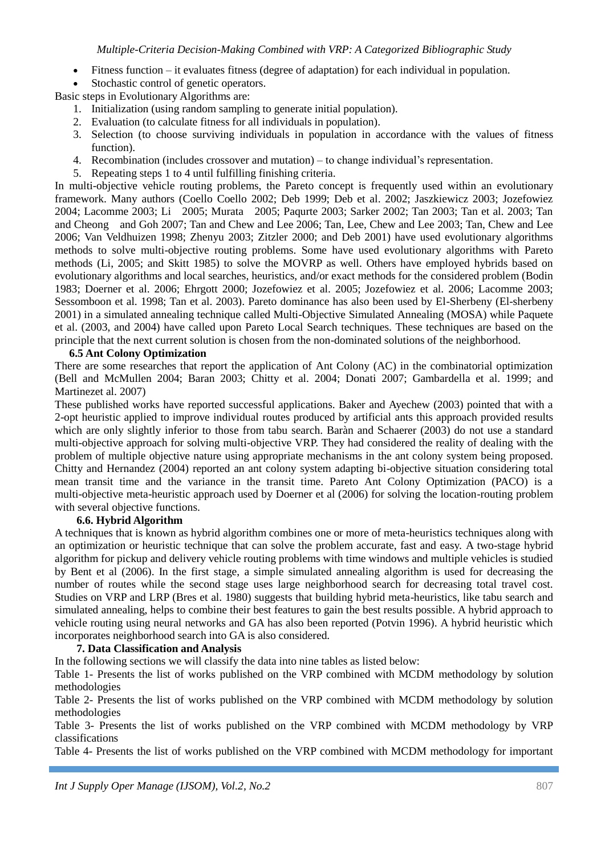- Fitness function it evaluates fitness (degree of adaptation) for each individual in population.
- Stochastic control of genetic operators.

Basic steps in Evolutionary Algorithms are:

- 1. Initialization (using random sampling to generate initial population).
- 2. Evaluation (to calculate fitness for all individuals in population).
- 3. Selection (to choose surviving individuals in population in accordance with the values of fitness function).
- 4. Recombination (includes crossover and mutation) to change individual's representation.
- 5. Repeating steps 1 to 4 until fulfilling finishing criteria.

In multi-objective vehicle routing problems, the Pareto concept is frequently used within an evolutionary framework. Many authors (Coello Coello 2002; Deb 1999; Deb et al. 2002; Jaszkiewicz 2003; Jozefowiez 2004; Lacomme 2003; Li 2005; Murata 2005; Paqurte 2003; Sarker 2002; Tan 2003; Tan et al. 2003; Tan and Cheong and Goh 2007; Tan and Chew and Lee 2006; Tan, Lee, Chew and Lee 2003; Tan, Chew and Lee 2006; Van Veldhuizen 1998; Zhenyu 2003; Zitzler 2000; and Deb 2001) have used evolutionary algorithms methods to solve multi-objective routing problems. Some have used evolutionary algorithms with Pareto methods (Li, 2005; and Skitt 1985) to solve the MOVRP as well. Others have employed hybrids based on evolutionary algorithms and local searches, heuristics, and/or exact methods for the considered problem (Bodin 1983; Doerner et al. 2006; Ehrgott 2000; Jozefowiez et al. 2005; Jozefowiez et al. 2006; Lacomme 2003; Sessomboon et al. 1998; Tan et al. 2003). Pareto dominance has also been used by El-Sherbeny (El-sherbeny 2001) in a simulated annealing technique called Multi-Objective Simulated Annealing (MOSA) while Paquete et al. (2003, and 2004) have called upon Pareto Local Search techniques. These techniques are based on the principle that the next current solution is chosen from the non-dominated solutions of the neighborhood.

### **6.5 Ant Colony Optimization**

There are some researches that report the application of Ant Colony (AC) in the combinatorial optimization (Bell and McMullen 2004; Baran 2003; Chitty et al. 2004; Donati 2007; Gambardella et al. 1999; and Martinezet al. 2007)

These published works have reported successful applications. Baker and Ayechew (2003) pointed that with a 2-opt heuristic applied to improve individual routes produced by artificial ants this approach provided results which are only slightly inferior to those from tabu search. Baràn and Schaerer (2003) do not use a standard multi-objective approach for solving multi-objective VRP. They had considered the reality of dealing with the problem of multiple objective nature using appropriate mechanisms in the ant colony system being proposed. Chitty and Hernandez (2004) reported an ant colony system adapting bi-objective situation considering total mean transit time and the variance in the transit time. Pareto Ant Colony Optimization (PACO) is a multi-objective meta-heuristic approach used by Doerner et al (2006) for solving the location-routing problem with several objective functions.

### **6.6. Hybrid Algorithm**

A techniques that is known as hybrid algorithm combines one or more of meta-heuristics techniques along with an optimization or heuristic technique that can solve the problem accurate, fast and easy. A two-stage hybrid algorithm for pickup and delivery vehicle routing problems with time windows and multiple vehicles is studied by Bent et al (2006). In the first stage, a simple simulated annealing algorithm is used for decreasing the number of routes while the second stage uses large neighborhood search for decreasing total travel cost. Studies on VRP and LRP (Bres et al. 1980) suggests that building hybrid meta-heuristics, like tabu search and simulated annealing, helps to combine their best features to gain the best results possible. A hybrid approach to vehicle routing using neural networks and GA has also been reported (Potvin 1996). A hybrid heuristic which incorporates neighborhood search into GA is also considered.

### **7. Data Classification and Analysis**

In the following sections we will classify the data into nine tables as listed below:

Table 1- Presents the list of works published on the VRP combined with MCDM methodology by solution methodologies

Table 2- Presents the list of works published on the VRP combined with MCDM methodology by solution methodologies

Table 3- Presents the list of works published on the VRP combined with MCDM methodology by VRP classifications

Table 4- Presents the list of works published on the VRP combined with MCDM methodology for important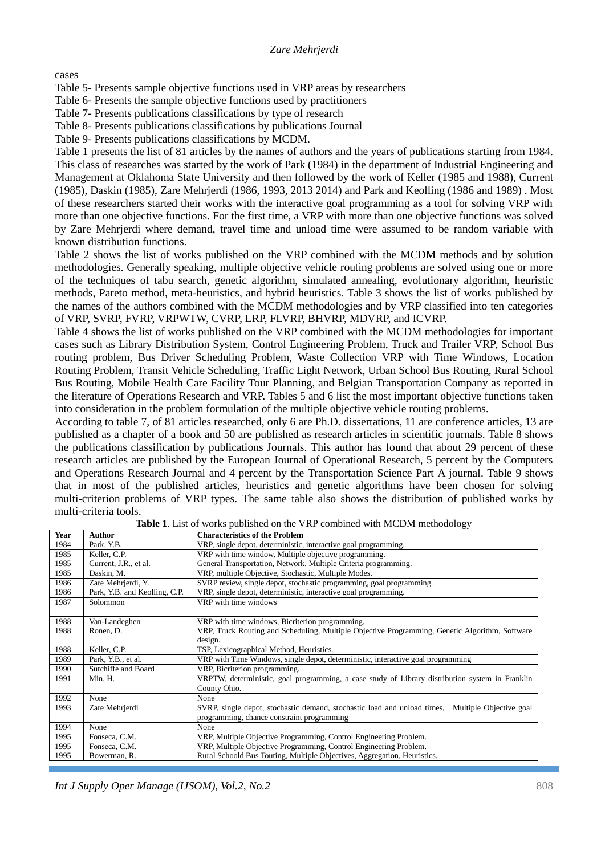cases

Table 5- Presents sample objective functions used in VRP areas by researchers

Table 6- Presents the sample objective functions used by practitioners

Table 7- Presents publications classifications by type of research

Table 8- Presents publications classifications by publications Journal

Table 9- Presents publications classifications by MCDM.

Table 1 presents the list of 81 articles by the names of authors and the years of publications starting from 1984. This class of researches was started by the work of Park (1984) in the department of Industrial Engineering and Management at Oklahoma State University and then followed by the work of Keller (1985 and 1988), Current (1985), Daskin (1985), Zare Mehrjerdi (1986, 1993, 2013 2014) and Park and Keolling (1986 and 1989) . Most of these researchers started their works with the interactive goal programming as a tool for solving VRP with more than one objective functions. For the first time, a VRP with more than one objective functions was solved by Zare Mehrjerdi where demand, travel time and unload time were assumed to be random variable with known distribution functions.

Table 2 shows the list of works published on the VRP combined with the MCDM methods and by solution methodologies. Generally speaking, multiple objective vehicle routing problems are solved using one or more of the techniques of tabu search, genetic algorithm, simulated annealing, evolutionary algorithm, heuristic methods, Pareto method, meta-heuristics, and hybrid heuristics. Table 3 shows the list of works published by the names of the authors combined with the MCDM methodologies and by VRP classified into ten categories of VRP, SVRP, FVRP, VRPWTW, CVRP, LRP, FLVRP, BHVRP, MDVRP, and ICVRP.

Table 4 shows the list of works published on the VRP combined with the MCDM methodologies for important cases such as Library Distribution System, Control Engineering Problem, Truck and Trailer VRP, School Bus routing problem, Bus Driver Scheduling Problem, Waste Collection VRP with Time Windows, Location Routing Problem, Transit Vehicle Scheduling, Traffic Light Network, Urban School Bus Routing, Rural School Bus Routing, Mobile Health Care Facility Tour Planning, and Belgian Transportation Company as reported in the literature of Operations Research and VRP. Tables 5 and 6 list the most important objective functions taken into consideration in the problem formulation of the multiple objective vehicle routing problems.

According to table 7, of 81 articles researched, only 6 are Ph.D. dissertations, 11 are conference articles, 13 are published as a chapter of a book and 50 are published as research articles in scientific journals. Table 8 shows the publications classification by publications Journals. This author has found that about 29 percent of these research articles are published by the European Journal of Operational Research, 5 percent by the Computers and Operations Research Journal and 4 percent by the Transportation Science Part A journal. Table 9 shows that in most of the published articles, heuristics and genetic algorithms have been chosen for solving multi-criterion problems of VRP types. The same table also shows the distribution of published works by multi-criteria tools.

| Year | Author                        | <b>Characteristics of the Problem</b>                                                               |  |  |  |  |  |
|------|-------------------------------|-----------------------------------------------------------------------------------------------------|--|--|--|--|--|
| 1984 | Park, Y.B.                    | VRP, single depot, deterministic, interactive goal programming.                                     |  |  |  |  |  |
| 1985 | Keller, C.P.                  | VRP with time window, Multiple objective programming.                                               |  |  |  |  |  |
| 1985 | Current, J.R., et al.         | General Transportation, Network, Multiple Criteria programming.                                     |  |  |  |  |  |
| 1985 | Daskin, M.                    | VRP, multiple Objective, Stochastic, Multiple Modes.                                                |  |  |  |  |  |
| 1986 | Zare Mehrjerdi, Y.            | SVRP review, single depot, stochastic programming, goal programming.                                |  |  |  |  |  |
| 1986 | Park, Y.B. and Keolling, C.P. | VRP, single depot, deterministic, interactive goal programming.                                     |  |  |  |  |  |
| 1987 | Solommon                      | VRP with time windows                                                                               |  |  |  |  |  |
|      |                               |                                                                                                     |  |  |  |  |  |
| 1988 | Van-Landeghen                 | VRP with time windows, Bicriterion programming.                                                     |  |  |  |  |  |
| 1988 | Ronen, D.                     | VRP, Truck Routing and Scheduling, Multiple Objective Programming, Genetic Algorithm, Software      |  |  |  |  |  |
|      |                               | design.                                                                                             |  |  |  |  |  |
| 1988 | Keller, C.P.                  | TSP, Lexicographical Method, Heuristics.                                                            |  |  |  |  |  |
| 1989 | Park, Y.B., et al.            | VRP with Time Windows, single depot, deterministic, interactive goal programming                    |  |  |  |  |  |
| 1990 | Sutchiffe and Board           | VRP, Bicriterion programming.                                                                       |  |  |  |  |  |
| 1991 | Min, H.                       | VRPTW, deterministic, goal programming, a case study of Library distribution system in Franklin     |  |  |  |  |  |
|      |                               | County Ohio.                                                                                        |  |  |  |  |  |
| 1992 | None                          | None                                                                                                |  |  |  |  |  |
| 1993 | Zare Mehrjerdi                | SVRP, single depot, stochastic demand, stochastic load and unload times,<br>Multiple Objective goal |  |  |  |  |  |
|      |                               | programming, chance constraint programming                                                          |  |  |  |  |  |
| 1994 | None                          | None                                                                                                |  |  |  |  |  |
| 1995 | Fonseca, C.M.                 | VRP, Multiple Objective Programming, Control Engineering Problem.                                   |  |  |  |  |  |
| 1995 | Fonseca, C.M.                 | VRP, Multiple Objective Programming, Control Engineering Problem.                                   |  |  |  |  |  |
| 1995 | Bowerman, R.                  | Rural Schoold Bus Touting, Multiple Objectives, Aggregation, Heuristics.                            |  |  |  |  |  |
|      |                               |                                                                                                     |  |  |  |  |  |

**Table 1**. List of works published on the VRP combined with MCDM methodology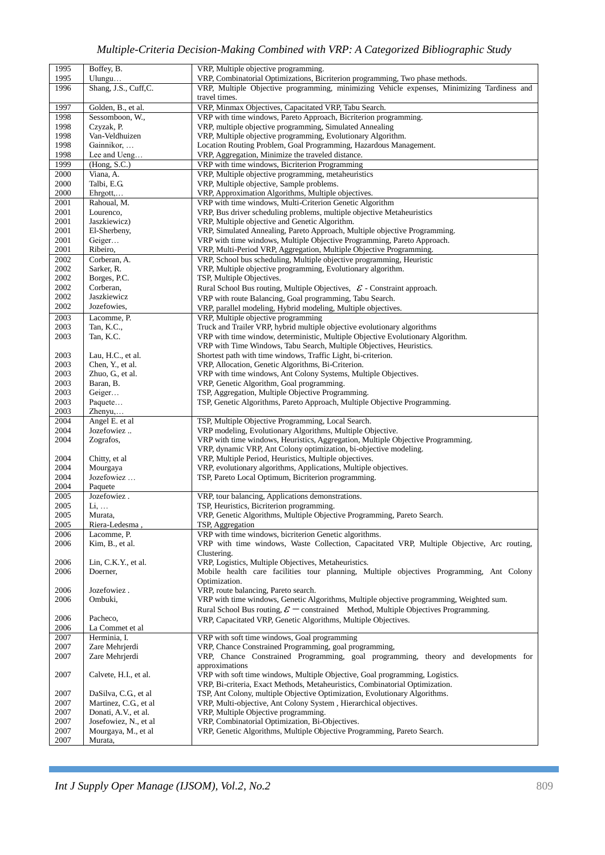|          |                        | VRP, Multiple objective programming.                                                           |
|----------|------------------------|------------------------------------------------------------------------------------------------|
| 1995     | Boffey, B.             |                                                                                                |
| 1995     | $U$ lungu              | VRP, Combinatorial Optimizations, Bicriterion programming, Two phase methods.                  |
| 1996     | Shang, J.S., Cuff,C.   | VRP, Multiple Objective programming, minimizing Vehicle expenses, Minimizing Tardiness and     |
|          |                        | travel times.                                                                                  |
| 1997     | Golden, B., et al.     | VRP, Minmax Objectives, Capacitated VRP, Tabu Search.                                          |
| 1998     | Sessomboon, W.,        | VRP with time windows, Pareto Approach, Bicriterion programming.                               |
|          |                        |                                                                                                |
| 1998     | Czyzak, P.             | VRP, multiple objective programming, Simulated Annealing                                       |
| 1998     | Van-Veldhuizen         | VRP, Multiple objective programming, Evolutionary Algorithm.                                   |
| 1998     | Gainnikor,             | Location Routing Problem, Goal Programming, Hazardous Management.                              |
| 1998     | Lee and Ueng           | VRP, Aggregation, Minimize the traveled distance.                                              |
| 1999     | (Hong, S.C.)           | VRP with time windows, Bicriterion Programming                                                 |
| 2000     | Viana, A.              | VRP, Multiple objective programming, metaheuristics                                            |
|          |                        |                                                                                                |
| 2000     | Talbi, E.G.            | VRP, Multiple objective, Sample problems.                                                      |
| 2000     | $Ehrgott, \ldots$      | VRP, Approximation Algorithms, Multiple objectives.                                            |
| 2001     | Rahoual, M.            | VRP with time windows, Multi-Criterion Genetic Algorithm                                       |
| 2001     | Lourenco,              | VRP, Bus driver scheduling problems, multiple objective Metaheuristics                         |
| 2001     | Jaszkiewicz)           | VRP, Multiple objective and Genetic Algorithm.                                                 |
| 2001     | El-Sherbeny,           | VRP, Simulated Annealing, Pareto Approach, Multiple objective Programming.                     |
|          |                        |                                                                                                |
| 2001     | Geiger                 | VRP with time windows, Multiple Objective Programming, Pareto Approach.                        |
| 2001     | Ribeiro,               | VRP, Multi-Period VRP, Aggregation, Multiple Objective Programming.                            |
| 2002     | Corberan, A.           | VRP, School bus scheduling, Multiple objective programming, Heuristic                          |
| 2002     | Sarker, R.             | VRP, Multiple objective programming, Evolutionary algorithm.                                   |
| 2002     | Borges, P.C.           | TSP, Multiple Objectives.                                                                      |
| 2002     | Corberan,              | Rural School Bus routing, Multiple Objectives, $\mathcal{E}$ - Constraint approach.            |
| 2002     | Jaszkiewicz            |                                                                                                |
|          |                        | VRP with route Balancing, Goal programming, Tabu Search.                                       |
| 2002     | Jozefowies,            | VRP, parallel modeling, Hybrid modeling, Multiple objectives.                                  |
| 2003     | Lacomme, P.            | VRP, Multiple objective programming                                                            |
| 2003     | Tan, K.C.,             | Truck and Trailer VRP, hybrid multiple objective evolutionary algorithms                       |
| 2003     | Tan, K.C.              | VRP with time window, deterministic, Multiple Objective Evolutionary Algorithm.                |
|          |                        | VRP with Time Windows, Tabu Search, Multiple Objectives, Heuristics.                           |
|          |                        |                                                                                                |
| 2003     | Lau, H.C., et al.      | Shortest path with time windows, Traffic Light, bi-criterion.                                  |
| 2003     | Chen, Y., et al.       | VRP, Allocation, Genetic Algorithms, Bi-Criterion.                                             |
| 2003     | Zhuo, G., et al.       | VRP with time windows, Ant Colony Systems, Multiple Objectives.                                |
| 2003     | Baran, B.              | VRP, Genetic Algorithm, Goal programming.                                                      |
| 2003     | Geiger                 | TSP, Aggregation, Multiple Objective Programming.                                              |
| 2003     | Paquete                | TSP, Genetic Algorithms, Pareto Approach, Multiple Objective Programming.                      |
| 2003     | $Zhenyu, \ldots$       |                                                                                                |
|          |                        |                                                                                                |
| 2004     | Angel E. et al         | TSP, Multiple Objective Programming, Local Search.                                             |
| 2004     | Jozefowiez             | VRP modeling, Evolutionary Algorithms, Multiple Objective.                                     |
| 2004     | Zografos,              | VRP with time windows, Heuristics, Aggregation, Multiple Objective Programming.                |
|          |                        | VRP, dynamic VRP, Ant Colony optimization, bi-objective modeling.                              |
| 2004     | Chitty, et al.         | VRP, Multiple Period, Heuristics, Multiple objectives.                                         |
| 2004     | Mourgaya               | VRP, evolutionary algorithms, Applications, Multiple objectives.                               |
| 2004     | Jozefowiez             | TSP, Pareto Local Optimum, Bicriterion programming.                                            |
| 2004     | Paquete                |                                                                                                |
|          |                        |                                                                                                |
| 2005     | Jozefowiez.            | VRP, tour balancing, Applications demonstrations.                                              |
| 2005     | Li,                    | TSP, Heuristics, Bicriterion programming.                                                      |
| 2005     | Murata,                | VRP, Genetic Algorithms, Multiple Objective Programming, Pareto Search.                        |
| 2005     | Riera-Ledesma,         | TSP, Aggregation                                                                               |
| 2006     | Lacomme, P.            | VRP with time windows, bicriterion Genetic algorithms.                                         |
| 2006     | Kim, B., et al.        | VRP with time windows, Waste Collection, Capacitated VRP, Multiple Objective, Arc routing,     |
|          |                        | Clustering.                                                                                    |
|          |                        |                                                                                                |
| 2006     | Lin, C.K.Y., et al.    | VRP, Logistics, Multiple Objectives, Metaheuristics.                                           |
| 2006     | Doerner,               | Mobile health care facilities tour planning, Multiple objectives Programming, Ant Colony       |
|          |                        | Optimization.                                                                                  |
| 2006     | Jozefowiez.            | VRP, route balancing, Pareto search.                                                           |
| 2006     | Ombuki,                | VRP with time windows, Genetic Algorithms, Multiple objective programming, Weighted sum.       |
|          |                        | Rural School Bus routing, $\mathcal{E}$ - constrained Method, Multiple Objectives Programming. |
| 2006     | Pacheco,               | VRP, Capacitated VRP, Genetic Algorithms, Multiple Objectives.                                 |
| 2006     |                        |                                                                                                |
|          | La Commet et al        |                                                                                                |
| 2007     | Herminia, I.           | VRP with soft time windows, Goal programming                                                   |
| 2007     | Zare Mehrjerdi         | VRP, Chance Constrained Programming, goal programming,                                         |
| 2007     | Zare Mehrjerdi         | VRP, Chance Constrained Programming, goal programming, theory and developments for             |
|          |                        | approximations                                                                                 |
| 2007     | Calvete, H.I., et al.  | VRP with soft time windows, Multiple Objective, Goal programming, Logistics.                   |
|          |                        | VRP, Bi-criteria, Exact Methods, Metaheuristics, Combinatorial Optimization.                   |
| 2007     | DaSilva, C.G., et al   | TSP, Ant Colony, multiple Objective Optimization, Evolutionary Algorithms.                     |
|          |                        |                                                                                                |
| 2007     | Martinez, C.G., et al. | VRP, Multi-objective, Ant Colony System, Hierarchical objectives.                              |
| 2007     | Donati, A.V., et al.   | VRP, Multiple Objective programming.                                                           |
| 2007     | Josefowiez, N., et al  | VRP, Combinatorial Optimization, Bi-Objectives.                                                |
| 2007     | Mourgaya, M., et al    | VRP, Genetic Algorithms, Multiple Objective Programming, Pareto Search.                        |
| $2007\,$ | Murata,                |                                                                                                |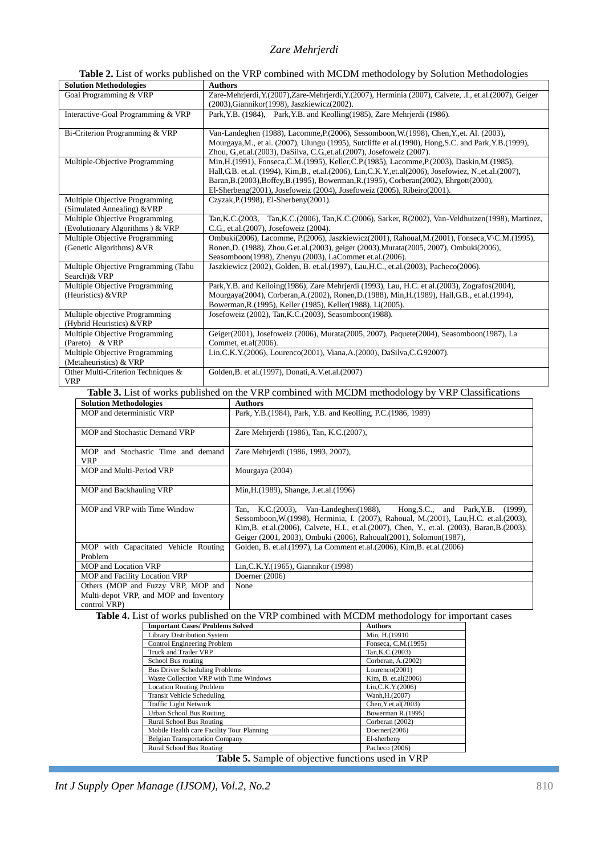### **Table 2.** List of works published on the VRP combined with MCDM methodology by Solution Methodologies

| <b>Solution Methodologies</b>        | <b>Authors</b>                                                                                               |
|--------------------------------------|--------------------------------------------------------------------------------------------------------------|
| Goal Programming & VRP               | Zare-Mehrjerdi, Y.(2007), Zare-Mehrjerdi, Y.(2007), Herminia (2007), Calvete, .I., et.al.(2007), Geiger      |
|                                      | (2003), Giannikor (1998), Jaszkiewicz (2002).                                                                |
| Interactive-Goal Programming & VRP   | Park, Y.B. (1984), Park, Y.B. and Keolling (1985), Zare Mehrjerdi (1986).                                    |
|                                      |                                                                                                              |
| Bi-Criterion Programming & VRP       | Van-Landeghen (1988), Lacomme, P. (2006), Sessomboon, W. (1998), Chen, Y., et. Al. (2003),                   |
|                                      | Mourgaya, M., et al. (2007), Ulungu (1995), Sutcliffe et al. (1990), Hong, S.C. and Park, Y.B. (1999),       |
|                                      | Zhou, G.et.al.(2003), DaSilva, C.G.et.al.(2007), Josefoweiz (2007).                                          |
| Multiple-Objective Programming       | Min, H. (1991), Fonseca, C.M. (1995), Keller, C.P. (1985), Lacomme, P. (2003), Daskin, M. (1985),            |
|                                      | Hall, G.B. et.al. (1994), Kim, B., et.al. (2006), Lin, C.K. Y., et.al (2006), Josefowiez, N., et.al. (2007), |
|                                      | Baran, B. (2003), Boffey, B. (1995), Bowerman, R. (1995), Corberan (2002), Ehrgott (2000),                   |
|                                      | El-Sherbeng(2001), Josefoweiz (2004), Josefoweiz (2005), Ribeiro(2001).                                      |
| Multiple Objective Programming       | Czyzak, P. (1998), El-Sherbeny (2001).                                                                       |
| (Simulated Annealing) & VRP          |                                                                                                              |
| Multiple Objective Programming       | Tan, K.C. (2003, Tan, K.C. (2006), Tan, K.C. (2006), Sarker, R(2002), Van-Veldhuizen (1998), Martinez,       |
| (Evolutionary Algorithms) & VRP      | C.G., et.al.(2007), Josefoweiz (2004).                                                                       |
| Multiple Objective Programming       | Ombuki(2006), Lacomme, P.(2006), Jaszkiewicz(2001), Rahoual, M.(2001), Fonseca, V/C.M.(1995),                |
| (Genetic Algorithms) & VR            | Ronen, D. (1988), Zhou, Get.al. (2003), geiger (2003), Murata (2005, 2007), Ombuki (2006),                   |
|                                      | Seasomboon(1998), Zhenyu (2003), LaCommet et.al.(2006).                                                      |
| Multiple Objective Programming (Tabu | Jaszkiewicz (2002), Golden, B. et.al.(1997), Lau, H.C., et.al.(2003), Pacheco(2006).                         |
| Search)& VRP                         |                                                                                                              |
| Multiple Objective Programming       | Park, Y.B. and Kelloing(1986), Zare Mehrjerdi (1993), Lau, H.C. et al.(2003), Zografos(2004),                |
| (Heuristics) & VRP                   | Mourgaya(2004), Corberan, A. (2002), Ronen, D. (1988), Min, H. (1989), Hall, G.B., et. al. (1994),           |
|                                      | Bowerman, R. (1995), Keller (1985), Keller (1988), Li(2005).                                                 |
| Multiple objective Programming       | Josefoweiz (2002), Tan, K.C. (2003), Seasomboon (1988).                                                      |
| (Hybrid Heuristics) & VRP            |                                                                                                              |
| Multiple Objective Programming       | Geiger(2001), Josefoweiz (2006), Murata(2005, 2007), Paquete(2004), Seasomboon(1987), La                     |
| (Pareto) & VRP                       | Commet, et.al(2006).                                                                                         |
| Multiple Objective Programming       | Lin, C.K. Y. (2006), Lourenco (2001), Viana, A. (2000), DaSilva, C. G. 92007).                               |
| (Metaheuristics) & VRP               |                                                                                                              |
| Other Multi-Criterion Techniques &   | Golden, B. et al. (1997), Donati, A.V. et. al. (2007)                                                        |
| <b>VRP</b>                           |                                                                                                              |

**Table 3.** List of works published on the VRP combined with MCDM methodology by VRP Classifications

| <b>Solution Methodologies</b>                          | <b>Authors</b>                                                                                                                                                                                                                                                                                                                                     |
|--------------------------------------------------------|----------------------------------------------------------------------------------------------------------------------------------------------------------------------------------------------------------------------------------------------------------------------------------------------------------------------------------------------------|
| MOP and deterministic VRP                              | Park, Y.B. (1984), Park, Y.B. and Keolling, P.C. (1986, 1989)                                                                                                                                                                                                                                                                                      |
| MOP and Stochastic Demand VRP                          | Zare Mehrjerdi (1986), Tan, K.C. (2007),                                                                                                                                                                                                                                                                                                           |
| MOP and Stochastic Time and demand<br><b>VRP</b>       | Zare Mehrjerdi (1986, 1993, 2007),                                                                                                                                                                                                                                                                                                                 |
| MOP and Multi-Period VRP                               | Mourgaya (2004)                                                                                                                                                                                                                                                                                                                                    |
| MOP and Backhauling VRP                                | Min, H. (1989), Shange, J. et. al. (1996)                                                                                                                                                                                                                                                                                                          |
| MOP and VRP with Time Window                           | Tan, K.C.(2003), Van-Landeghen(1988), Hong, S.C., and Park, Y.B.<br>$(1999)$ .<br>Sessomboon, W. (1998), Herminia, I. (2007), Rahoual, M. (2001), Lau, H.C. et.al. (2003),<br>Kim, B. et.al. (2006), Calvete, H.I., et.al. (2007), Chen, Y., et.al. (2003), Baran, B. (2003),<br>Geiger (2001, 2003), Ombuki (2006), Rahoual(2001), Solomon(1987), |
| MOP with Capacitated Vehicle Routing<br>Problem        | Golden, B. et.al. (1997), La Comment et.al. (2006), Kim, B. et.al. (2006)                                                                                                                                                                                                                                                                          |
| <b>MOP</b> and Location VRP                            | Lin, C.K. Y. (1965), Giannikor (1998)                                                                                                                                                                                                                                                                                                              |
| MOP and Facility Location VRP                          | Doerner $(2006)$                                                                                                                                                                                                                                                                                                                                   |
| Others (MOP and Fuzzy VRP, MOP and                     | None                                                                                                                                                                                                                                                                                                                                               |
| Multi-depot VRP, and MOP and Inventory<br>control VRP) |                                                                                                                                                                                                                                                                                                                                                    |

**Table 4.** List of works published on the VRP combined with MCDM methodology for important cases

| <b>Important Cases/ Problems Solved</b>   | <b>Authors</b>      |
|-------------------------------------------|---------------------|
| <b>Library Distribution System</b>        | Min, H.(19910       |
| Control Engineering Problem               | Fonseca, C.M.(1995) |
| Truck and Trailer VRP                     | Tan, K.C. (2003)    |
| School Bus routing                        | Corberan, A.(2002)  |
| <b>Bus Driver Scheduling Problems</b>     | Lourenco(2001)      |
| Waste Collection VRP with Time Windows    | Kim, B. et.al(2006) |
| <b>Location Routing Problem</b>           | Lin, C.K. Y. (2006) |
| <b>Transit Vehicle Scheduling</b>         | Wanh, H.(2007)      |
| <b>Traffic Light Network</b>              | Chen, Y.et.al(2003) |
| Urban School Bus Routing                  | Bowerman R.(1995)   |
| Rural School Bus Routing                  | Corberan (2002)     |
| Mobile Health care Facility Tour Planning | Doerner(2006)       |
| <b>Belgian Transportation Company</b>     | El-sherbeny         |
| Rural School Bus Roating                  | Pacheco (2006)      |

**Table 5.** Sample of objective functions used in VRP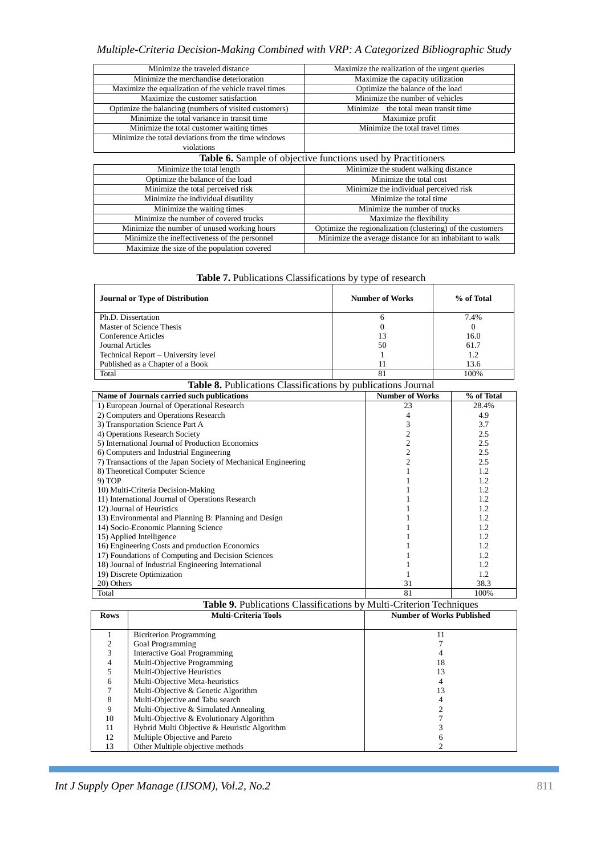# *Multiple-Criteria Decision-Making Combined with VRP: A Categorized Bibliographic Study*

| Minimize the traveled distance                        | Maximize the realization of the urgent queries               |
|-------------------------------------------------------|--------------------------------------------------------------|
| Minimize the merchandise deterioration                | Maximize the capacity utilization                            |
| Maximize the equalization of the vehicle travel times | Optimize the balance of the load                             |
| Maximize the customer satisfaction                    | Minimize the number of vehicles                              |
| Optimize the balancing (numbers of visited customers) | Minimize the total mean transit time                         |
| Minimize the total variance in transit time           | Maximize profit                                              |
| Minimize the total customer waiting times             | Minimize the total travel times                              |
| Minimize the total deviations from the time windows   |                                                              |
| violations                                            |                                                              |
|                                                       | Table 6. Sample of objective functions used by Practitioners |
| Minimize the total length                             | Minimize the student walking distance                        |
| Optimize the balance of the load                      | Minimize the total cost                                      |
| Minimize the total perceived risk                     | Minimize the individual perceived risk                       |
| Minimize the individual disutility                    | Minimize the total time                                      |
| Minimize the waiting times                            | Minimize the number of trucks                                |
| Minimize the number of covered trucks                 | Maximize the flexibility                                     |
| Minimize the number of unused working hours           | Optimize the regionalization (clustering) of the customers   |
| Minimize the ineffectiveness of the personnel         | Minimize the average distance for an inhabitant to walk      |
| Maximize the size of the population covered           |                                                              |

|  | <b>Table 7.</b> Publications Classifications by type of research |
|--|------------------------------------------------------------------|
|  |                                                                  |

| <b>Journal or Type of Distribution</b> | <b>Number of Works</b> | % of Total |
|----------------------------------------|------------------------|------------|
| Ph.D. Dissertation                     | <sub>(</sub>           | 7.4%       |
| Master of Science Thesis               | 0                      |            |
| Conference Articles                    | 13                     | 16.0       |
| Journal Articles                       | 50                     | 61.7       |
| Technical Report - University level    |                        | 1.2        |
| Published as a Chapter of a Book       |                        | 13.6       |
| Total                                  | 81                     | 100%       |

| Table 8. Publications Classifications by publications Journal  |                        |            |  |  |  |
|----------------------------------------------------------------|------------------------|------------|--|--|--|
| Name of Journals carried such publications                     | <b>Number of Works</b> | % of Total |  |  |  |
| 1) European Journal of Operational Research                    | 23                     | 28.4%      |  |  |  |
| 2) Computers and Operations Research                           | 4                      | 4.9        |  |  |  |
| 3) Transportation Science Part A                               | 3                      | 3.7        |  |  |  |
| 4) Operations Research Society                                 | $\overline{c}$         | 2.5        |  |  |  |
| 5) International Journal of Production Economics               | $\overline{c}$         | 2.5        |  |  |  |
| 6) Computers and Industrial Engineering                        | $\overline{2}$         | 2.5        |  |  |  |
| 7) Transactions of the Japan Society of Mechanical Engineering | $\overline{2}$         | 2.5        |  |  |  |
| 8) Theoretical Computer Science                                |                        | 1.2        |  |  |  |
| 9) TOP                                                         |                        | 1.2        |  |  |  |
| 10) Multi-Criteria Decision-Making                             |                        | 1.2        |  |  |  |
| 11) International Journal of Operations Research               |                        | 1.2        |  |  |  |
| 12) Journal of Heuristics                                      |                        | 1.2        |  |  |  |
| 13) Environmental and Planning B: Planning and Design          |                        | 1.2        |  |  |  |
| 14) Socio-Economic Planning Science                            |                        | 1.2        |  |  |  |
| 15) Applied Intelligence                                       |                        | 1.2        |  |  |  |
| 16) Engineering Costs and production Economics                 |                        | 1.2        |  |  |  |
| 17) Foundations of Computing and Decision Sciences             |                        | 1.2        |  |  |  |
| 18) Journal of Industrial Engineering International            |                        | 1.2        |  |  |  |
| 19) Discrete Optimization                                      |                        | 1.2        |  |  |  |
| 20) Others                                                     | 31                     | 38.3       |  |  |  |
| Total                                                          | 81                     | 100%       |  |  |  |

|             | <b>Table 9.</b> Publications Classifications by Multi-Criterion Techniques |                                  |  |  |  |  |
|-------------|----------------------------------------------------------------------------|----------------------------------|--|--|--|--|
| <b>Rows</b> | <b>Multi-Criteria Tools</b>                                                | <b>Number of Works Published</b> |  |  |  |  |
|             |                                                                            |                                  |  |  |  |  |
|             | <b>Bicriterion Programming</b>                                             | 11                               |  |  |  |  |
|             | <b>Goal Programming</b>                                                    |                                  |  |  |  |  |
| 3           | Interactive Goal Programming                                               |                                  |  |  |  |  |
|             | Multi-Objective Programming                                                | 18                               |  |  |  |  |
|             | Multi-Objective Heuristics                                                 | 13                               |  |  |  |  |
| 6           | Multi-Objective Meta-heuristics                                            |                                  |  |  |  |  |
|             | Multi-Objective & Genetic Algorithm                                        | 13                               |  |  |  |  |
| 8           | Multi-Objective and Tabu search                                            |                                  |  |  |  |  |
| 9           | Multi-Objective & Simulated Annealing                                      |                                  |  |  |  |  |
| 10          | Multi-Objective & Evolutionary Algorithm                                   |                                  |  |  |  |  |
| 11          | Hybrid Multi Objective & Heuristic Algorithm                               |                                  |  |  |  |  |
| 12          | Multiple Objective and Pareto                                              |                                  |  |  |  |  |
| 13          | Other Multiple objective methods                                           |                                  |  |  |  |  |

*Int J Supply Oper Manage (IJSOM), Vol.2, No.2* 811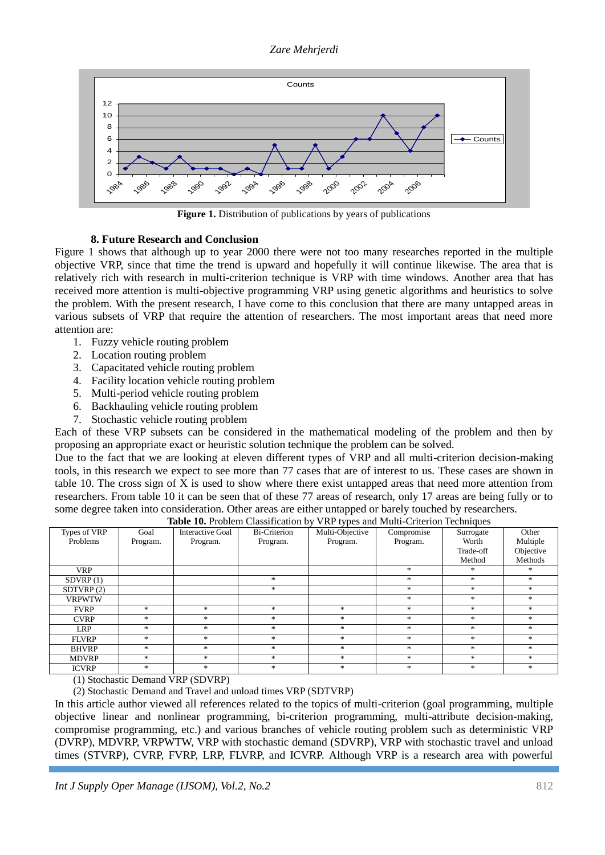

**Figure 1.** Distribution of publications by years of publications

# **8. Future Research and Conclusion**

- 1. Fuzzy vehicle routing problem
- 2. Location routing problem
- 3. Capacitated vehicle routing problem
- 4. Facility location vehicle routing problem
- 5. Multi-period vehicle routing problem
- 6. Backhauling vehicle routing problem
- 7. Stochastic vehicle routing problem

|                                                                                                                                                                                                                                                                                                                                                                                                                                                                                                                                                                                                                                                                                                                                                                                      | Counts                                                                                                                                                                                                                                                                                                                                                                                                                                                                                                                                                                                                                                                                                                                         |                              |                                                                                                                 |                             |                        |                     |                      |
|--------------------------------------------------------------------------------------------------------------------------------------------------------------------------------------------------------------------------------------------------------------------------------------------------------------------------------------------------------------------------------------------------------------------------------------------------------------------------------------------------------------------------------------------------------------------------------------------------------------------------------------------------------------------------------------------------------------------------------------------------------------------------------------|--------------------------------------------------------------------------------------------------------------------------------------------------------------------------------------------------------------------------------------------------------------------------------------------------------------------------------------------------------------------------------------------------------------------------------------------------------------------------------------------------------------------------------------------------------------------------------------------------------------------------------------------------------------------------------------------------------------------------------|------------------------------|-----------------------------------------------------------------------------------------------------------------|-----------------------------|------------------------|---------------------|----------------------|
| 12<br>10<br>8<br>Counts<br>6<br>4<br>2<br>0<br>2006<br>1986<br>1988<br>1996<br>1998<br>2000<br>2002<br>1990<br>1992<br><b>1994</b><br>2004<br><b>1984</b>                                                                                                                                                                                                                                                                                                                                                                                                                                                                                                                                                                                                                            |                                                                                                                                                                                                                                                                                                                                                                                                                                                                                                                                                                                                                                                                                                                                |                              |                                                                                                                 |                             |                        |                     |                      |
|                                                                                                                                                                                                                                                                                                                                                                                                                                                                                                                                                                                                                                                                                                                                                                                      |                                                                                                                                                                                                                                                                                                                                                                                                                                                                                                                                                                                                                                                                                                                                |                              | Figure 1. Distribution of publications by years of publications                                                 |                             |                        |                     |                      |
| attention are:                                                                                                                                                                                                                                                                                                                                                                                                                                                                                                                                                                                                                                                                                                                                                                       | <b>8. Future Research and Conclusion</b><br>Figure 1 shows that although up to year 2000 there were not too many researches reported in the multiple<br>objective VRP, since that time the trend is upward and hopefully it will continue likewise. The area that is<br>relatively rich with research in multi-criterion technique is VRP with time windows. Another area that has<br>received more attention is multi-objective programming VRP using genetic algorithms and heuristics to solve<br>the problem. With the present research, I have come to this conclusion that there are many untapped areas in<br>various subsets of VRP that require the attention of researchers. The most important areas that need more |                              |                                                                                                                 |                             |                        |                     |                      |
| 2.<br>3.<br>4.<br>5.<br>6.<br>7.                                                                                                                                                                                                                                                                                                                                                                                                                                                                                                                                                                                                                                                                                                                                                     | 1. Fuzzy vehicle routing problem<br>Location routing problem<br>Capacitated vehicle routing problem<br>Facility location vehicle routing problem<br>Multi-period vehicle routing problem<br>Backhauling vehicle routing problem<br>Stochastic vehicle routing problem                                                                                                                                                                                                                                                                                                                                                                                                                                                          |                              |                                                                                                                 |                             |                        |                     |                      |
| Each of these VRP subsets can be considered in the mathematical modeling of the problem and then by<br>proposing an appropriate exact or heuristic solution technique the problem can be solved.<br>Due to the fact that we are looking at eleven different types of VRP and all multi-criterion decision-making<br>tools, in this research we expect to see more than 77 cases that are of interest to us. These cases are shown in<br>table 10. The cross sign of X is used to show where there exist untapped areas that need more attention from<br>researchers. From table 10 it can be seen that of these 77 areas of research, only 17 areas are being fully or to<br>some degree taken into consideration. Other areas are either untapped or barely touched by researchers. |                                                                                                                                                                                                                                                                                                                                                                                                                                                                                                                                                                                                                                                                                                                                |                              |                                                                                                                 |                             |                        |                     |                      |
| Types of VRP<br>Problems                                                                                                                                                                                                                                                                                                                                                                                                                                                                                                                                                                                                                                                                                                                                                             | Goal<br>Program.                                                                                                                                                                                                                                                                                                                                                                                                                                                                                                                                                                                                                                                                                                               | Interactive Goal<br>Program. | Table 10. Problem Classification by VRP types and Multi-Criterion Techniques<br><b>Bi-Criterion</b><br>Program. | Multi-Objective<br>Program. | Compromise<br>Program. | Surrogate<br>Worth  | Other<br>Multiple    |
|                                                                                                                                                                                                                                                                                                                                                                                                                                                                                                                                                                                                                                                                                                                                                                                      |                                                                                                                                                                                                                                                                                                                                                                                                                                                                                                                                                                                                                                                                                                                                |                              |                                                                                                                 |                             |                        | Trade-off<br>Method | Objective<br>Methods |
| <b>VRP</b><br>SDVRP(1)                                                                                                                                                                                                                                                                                                                                                                                                                                                                                                                                                                                                                                                                                                                                                               |                                                                                                                                                                                                                                                                                                                                                                                                                                                                                                                                                                                                                                                                                                                                |                              | $\ast$                                                                                                          |                             | *<br>$\ast$            | $\ast$              | $\ast$               |
| SDTVRP(2)                                                                                                                                                                                                                                                                                                                                                                                                                                                                                                                                                                                                                                                                                                                                                                            |                                                                                                                                                                                                                                                                                                                                                                                                                                                                                                                                                                                                                                                                                                                                |                              | $\ast$                                                                                                          |                             | $\approx$              | $\ast$              | $\ast$               |
| <b>VRPWTW</b>                                                                                                                                                                                                                                                                                                                                                                                                                                                                                                                                                                                                                                                                                                                                                                        |                                                                                                                                                                                                                                                                                                                                                                                                                                                                                                                                                                                                                                                                                                                                |                              |                                                                                                                 |                             | *                      | $\ast$              | $\ast$               |
| <b>FVRP</b>                                                                                                                                                                                                                                                                                                                                                                                                                                                                                                                                                                                                                                                                                                                                                                          | $\ast$                                                                                                                                                                                                                                                                                                                                                                                                                                                                                                                                                                                                                                                                                                                         | $\ast$                       | $\ast$                                                                                                          | *                           | $\ast$                 | *                   | *                    |
| <b>CVRP</b><br><b>LRP</b>                                                                                                                                                                                                                                                                                                                                                                                                                                                                                                                                                                                                                                                                                                                                                            | $\ast$<br>$\ast$                                                                                                                                                                                                                                                                                                                                                                                                                                                                                                                                                                                                                                                                                                               | *<br>*                       | $\ast$<br>$\ast$                                                                                                | $\ast$<br>*                 | *<br>*                 | *<br>*              | $\ast$<br>$\ast$     |
| <b>FLVRP</b>                                                                                                                                                                                                                                                                                                                                                                                                                                                                                                                                                                                                                                                                                                                                                                         | $\ast$                                                                                                                                                                                                                                                                                                                                                                                                                                                                                                                                                                                                                                                                                                                         | $\ast$                       | $\ast$                                                                                                          | $\ast$                      | *                      | *                   | $\ast$               |
| <b>BHVRP</b>                                                                                                                                                                                                                                                                                                                                                                                                                                                                                                                                                                                                                                                                                                                                                                         | *                                                                                                                                                                                                                                                                                                                                                                                                                                                                                                                                                                                                                                                                                                                              | *                            | $\ast$                                                                                                          | *                           | *                      | *                   | $\ast$               |
| <b>MDVRP</b>                                                                                                                                                                                                                                                                                                                                                                                                                                                                                                                                                                                                                                                                                                                                                                         | $\ast$                                                                                                                                                                                                                                                                                                                                                                                                                                                                                                                                                                                                                                                                                                                         | $\ast$                       | $\ast$                                                                                                          | $\ast$                      | *                      | $\ast$              | $\ast$               |
| <b>ICVRP</b>                                                                                                                                                                                                                                                                                                                                                                                                                                                                                                                                                                                                                                                                                                                                                                         | *                                                                                                                                                                                                                                                                                                                                                                                                                                                                                                                                                                                                                                                                                                                              | $\ast$                       | $\ast$                                                                                                          | *                           | *                      | *                   | $\ast$               |
| (1) Stochastic Demand VRP (SDVRP)<br>(2) Stochastic Demand and Travel and unload times VRP (SDTVRP)<br>In this article author viewed all references related to the topics of multi-criterion (goal programming, multiple<br>objective linear and nonlinear programming, bi-criterion programming, multi-attribute decision-making,<br>compromise programming, etc.) and various branches of vehicle routing problem such as deterministic VRP<br>(DVRP), MDVRP, VRPWTW, VRP with stochastic demand (SDVRP), VRP with stochastic travel and unload<br>times (STVRP), CVRP, FVRP, LRP, FLVRP, and ICVRP. Although VRP is a research area with powerful                                                                                                                                 |                                                                                                                                                                                                                                                                                                                                                                                                                                                                                                                                                                                                                                                                                                                                |                              |                                                                                                                 |                             |                        |                     |                      |
|                                                                                                                                                                                                                                                                                                                                                                                                                                                                                                                                                                                                                                                                                                                                                                                      | 812<br>Int J Supply Oper Manage (IJSOM), Vol.2, No.2                                                                                                                                                                                                                                                                                                                                                                                                                                                                                                                                                                                                                                                                           |                              |                                                                                                                 |                             |                        |                     |                      |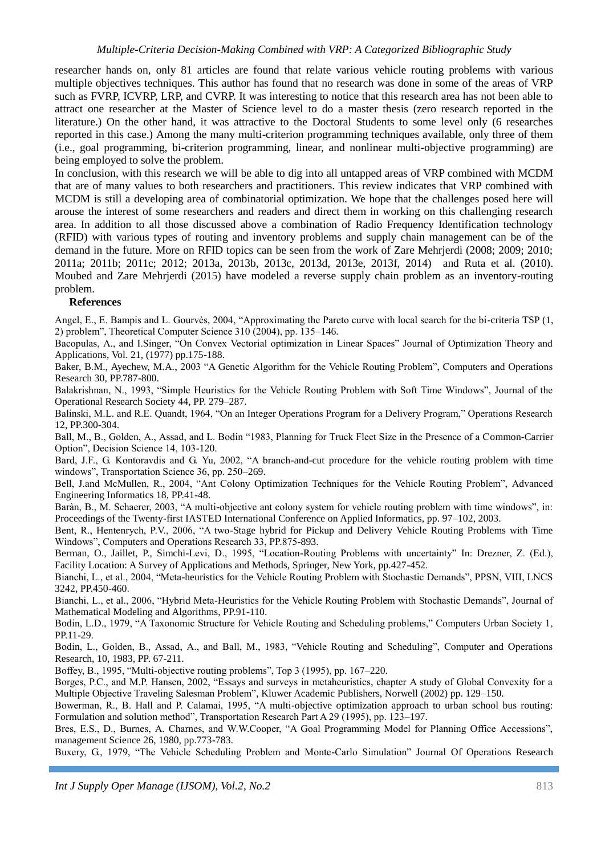researcher hands on, only 81 articles are found that relate various vehicle routing problems with various multiple objectives techniques. This author has found that no research was done in some of the areas of VRP such as FVRP, ICVRP, LRP, and CVRP. It was interesting to notice that this research area has not been able to attract one researcher at the Master of Science level to do a master thesis (zero research reported in the literature.) On the other hand, it was attractive to the Doctoral Students to some level only (6 researches reported in this case.) Among the many multi-criterion programming techniques available, only three of them (i.e., goal programming, bi-criterion programming, linear, and nonlinear multi-objective programming) are being employed to solve the problem.

In conclusion, with this research we will be able to dig into all untapped areas of VRP combined with MCDM that are of many values to both researchers and practitioners. This review indicates that VRP combined with MCDM is still a developing area of combinatorial optimization. We hope that the challenges posed here will arouse the interest of some researchers and readers and direct them in working on this challenging research area. In addition to all those discussed above a combination of Radio Frequency Identification technology (RFID) with various types of routing and inventory problems and supply chain management can be of the demand in the future. More on RFID topics can be seen from the work of Zare Mehrjerdi (2008; 2009; 2010; 2011a; 2011b; 2011c; 2012; 2013a, 2013b, 2013c, 2013d, 2013e, 2013f, 2014) and Ruta et al. (2010). Moubed and Zare Mehrjerdi (2015) have modeled a reverse supply chain problem as an inventory-routing problem.

#### **References**

Angel, E., E. Bampis and L. Gourvès, 2004, "Approximating the Pareto curve with local search for the bi-criteria TSP (1, 2) problem", Theoretical Computer Science 310 (2004), pp. 135–146.

Bacopulas, A., and I.Singer, "On Convex Vectorial optimization in Linear Spaces" Journal of Optimization Theory and Applications, Vol. 21, (1977) pp.175-188.

Baker, B.M., Ayechew, M.A., 2003 "A Genetic Algorithm for the Vehicle Routing Problem", Computers and Operations Research 30, PP.787-800.

Balakrishnan, N., 1993, "Simple Heuristics for the Vehicle Routing Problem with Soft Time Windows", Journal of the Operational Research Society 44, PP. 279–287.

Balinski, M.L. and R.E. Quandt, 1964, "On an Integer Operations Program for a Delivery Program," Operations Research 12, PP.300-304.

Ball, M., B., Golden, A., Assad, and L. Bodin "1983, Planning for Truck Fleet Size in the Presence of a Common-Carrier Option", Decision Science 14, 103-120.

Bard, J.F., G. Kontoravdis and G. Yu, 2002, "A branch-and-cut procedure for the vehicle routing problem with time windows", Transportation Science 36, pp. 250–269.

Bell, J.and McMullen, R., 2004, "Ant Colony Optimization Techniques for the Vehicle Routing Problem", Advanced Engineering Informatics 18, PP.41-48.

Baràn, B., M. Schaerer, 2003, "A multi-objective ant colony system for vehicle routing problem with time windows", in: Proceedings of the Twenty-first IASTED International Conference on Applied Informatics, pp. 97–102, 2003.

Bent, R., Hentenrych, P.V., 2006, "A two-Stage hybrid for Pickup and Delivery Vehicle Routing Problems with Time Windows", Computers and Operations Research 33, PP.875-893.

Berman, O., Jaillet, P., Simchi-Levi, D., 1995, "Location-Routing Problems with uncertainty" In: Drezner, Z. (Ed.), Facility Location: A Survey of Applications and Methods, Springer, New York, pp.427-452.

Bianchi, L., et al., 2004, "Meta-heuristics for the Vehicle Routing Problem with Stochastic Demands", PPSN, VIII, LNCS 3242, PP.450-460.

Bianchi, L., et al., 2006, "Hybrid Meta-Heuristics for the Vehicle Routing Problem with Stochastic Demands", Journal of Mathematical Modeling and Algorithms, PP.91-110.

Bodin, L.D., 1979, "A Taxonomic Structure for Vehicle Routing and Scheduling problems," Computers Urban Society 1, PP.11-29.

Bodin, L., Golden, B., Assad, A., and Ball, M., 1983, "Vehicle Routing and Scheduling", Computer and Operations Research, 10, 1983, PP. 67-211.

Boffey, B., 1995, "Multi-objective routing problems", Top 3 (1995), pp. 167–220.

Borges, P.C., and M.P. Hansen, 2002, "Essays and surveys in metaheuristics, chapter A study of Global Convexity for a Multiple Objective Traveling Salesman Problem", Kluwer Academic Publishers, Norwell (2002) pp. 129–150.

Bowerman, R., B. Hall and P. Calamai, 1995, "A multi-objective optimization approach to urban school bus routing: Formulation and solution method", Transportation Research Part A 29 (1995), pp. 123–197.

Bres, E.S., D., Burnes, A. Charnes, and W.W.Cooper, "A Goal Programming Model for Planning Office Accessions", management Science 26, 1980, pp.773-783.

Buxery, G., 1979, "The Vehicle Scheduling Problem and Monte-Carlo Simulation" Journal Of Operations Research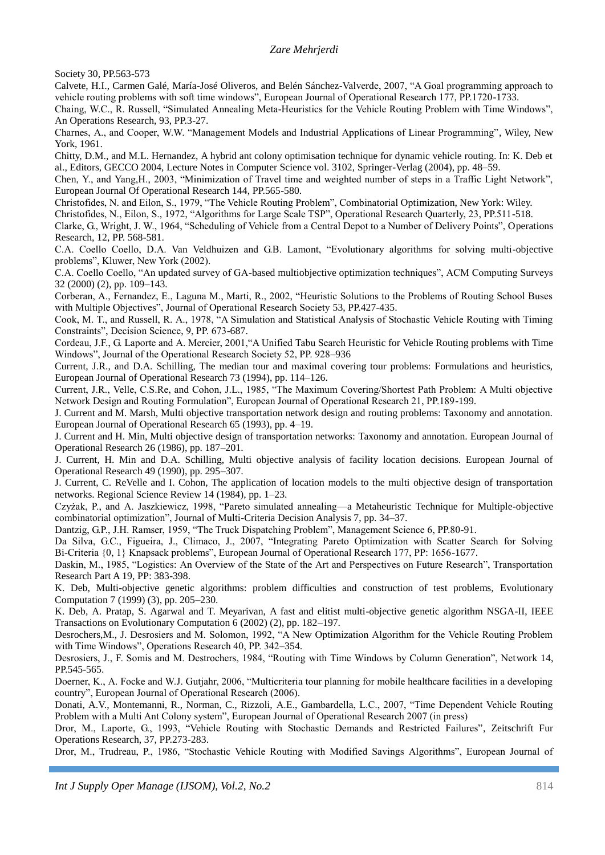Society 30, PP.563-573

Calvete, H.I., Carmen Galé, María-José Oliveros, and Belén Sánchez-Valverde, 2007, "A Goal programming approach to vehicle routing problems with soft time windows", European Journal of Operational Research 177, PP.1720-1733.

Chaing, W.C., R. Russell, "Simulated Annealing Meta-Heuristics for the Vehicle Routing Problem with Time Windows", An Operations Research, 93, PP.3-27.

Charnes, A., and Cooper, W.W. "Management Models and Industrial Applications of Linear Programming", Wiley, New York, 1961.

Chitty, D.M., and M.L. Hernandez, A hybrid ant colony optimisation technique for dynamic vehicle routing. In: K. Deb et al., Editors, GECCO 2004, Lecture Notes in Computer Science vol. 3102, Springer-Verlag (2004), pp. 48–59.

Chen, Y., and Yang,H., 2003, "Minimization of Travel time and weighted number of steps in a Traffic Light Network", European Journal Of Operational Research 144, PP.565-580.

Christofides, N. and Eilon, S., 1979, "The Vehicle Routing Problem", Combinatorial Optimization, New York: Wiley.

Christofides, N., Eilon, S., 1972, "Algorithms for Large Scale TSP", Operational Research Quarterly, 23, PP.511-518.

Clarke, G., Wright, J. W., 1964, "Scheduling of Vehicle from a Central Depot to a Number of Delivery Points", Operations Research, 12, PP. 568-581.

C.A. Coello Coello, D.A. Van Veldhuizen and G.B. Lamont, "Evolutionary algorithms for solving multi-objective problems", Kluwer, New York (2002).

C.A. Coello Coello, "An updated survey of GA-based multiobjective optimization techniques", ACM Computing Surveys 32 (2000) (2), pp. 109–143.

Corberan, A., Fernandez, E., Laguna M., Marti, R., 2002, "Heuristic Solutions to the Problems of Routing School Buses with Multiple Objectives", Journal of Operational Research Society 53, PP.427-435.

Cook, M. T., and Russell, R. A., 1978, "A Simulation and Statistical Analysis of Stochastic Vehicle Routing with Timing Constraints", Decision Science, 9, PP. 673-687.

Cordeau, J.F., G. Laporte and A. Mercier, 2001,"A Unified Tabu Search Heuristic for Vehicle Routing problems with Time Windows", Journal of the Operational Research Society 52, PP. 928–936

Current, J.R., and D.A. Schilling, The median tour and maximal covering tour problems: Formulations and heuristics, European Journal of Operational Research 73 (1994), pp. 114–126.

Current, J.R., Velle, C.S.Re, and Cohon, J.L., 1985, "The Maximum Covering/Shortest Path Problem: A Multi objective Network Design and Routing Formulation", European Journal of Operational Research 21, PP.189-199.

J. Current and M. Marsh, Multi objective transportation network design and routing problems: Taxonomy and annotation. European Journal of Operational Research 65 (1993), pp. 4–19.

J. Current and H. Min, Multi objective design of transportation networks: Taxonomy and annotation. European Journal of Operational Research 26 (1986), pp. 187–201.

J. Current, H. Min and D.A. Schilling, Multi objective analysis of facility location decisions. European Journal of Operational Research 49 (1990), pp. 295–307.

J. Current, C. ReVelle and I. Cohon, The application of location models to the multi objective design of transportation networks. Regional Science Review 14 (1984), pp. 1–23.

Czyżak, P., and A. Jaszkiewicz, 1998, "Pareto simulated annealing—a Metaheuristic Technique for Multiple-objective combinatorial optimization", Journal of Multi-Criteria Decision Analysis 7, pp. 34–37.

Dantzig, G.P., J.H. Ramser, 1959, "The Truck Dispatching Problem", Management Science 6, PP.80-91.

Da Silva, G.C., Figueira, J., Climaco, J., 2007, "Integrating Pareto Optimization with Scatter Search for Solving Bi-Criteria {0, 1} Knapsack problems", European Journal of Operational Research 177, PP: 1656-1677.

Daskin, M., 1985, "Logistics: An Overview of the State of the Art and Perspectives on Future Research", Transportation Research Part A 19, PP: 383-398.

K. Deb, Multi-objective genetic algorithms: problem difficulties and construction of test problems, Evolutionary Computation 7 (1999) (3), pp. 205–230.

K. Deb, A. Pratap, S. Agarwal and T. Meyarivan, A fast and elitist multi-objective genetic algorithm NSGA-II, IEEE Transactions on Evolutionary Computation 6 (2002) (2), pp. 182–197.

Desrochers,M., J. Desrosiers and M. Solomon, 1992, "A New Optimization Algorithm for the Vehicle Routing Problem with Time Windows", Operations Research 40, PP. 342–354.

Desrosiers, J., F. Somis and M. Destrochers, 1984, "Routing with Time Windows by Column Generation", Network 14, PP.545-565.

Doerner, K., A. Focke and W.J. Gutjahr, 2006, "Multicriteria tour planning for mobile healthcare facilities in a developing country", European Journal of Operational Research (2006).

Donati, A.V., Montemanni, R., Norman, C., Rizzoli, A.E., Gambardella, L.C., 2007, "Time Dependent Vehicle Routing Problem with a Multi Ant Colony system", European Journal of Operational Research 2007 (in press)

Dror, M., Laporte, G., 1993, "Vehicle Routing with Stochastic Demands and Restricted Failures", Zeitschrift Fur Operations Research, 37, PP.273-283.

Dror, M., Trudreau, P., 1986, "Stochastic Vehicle Routing with Modified Savings Algorithms", European Journal of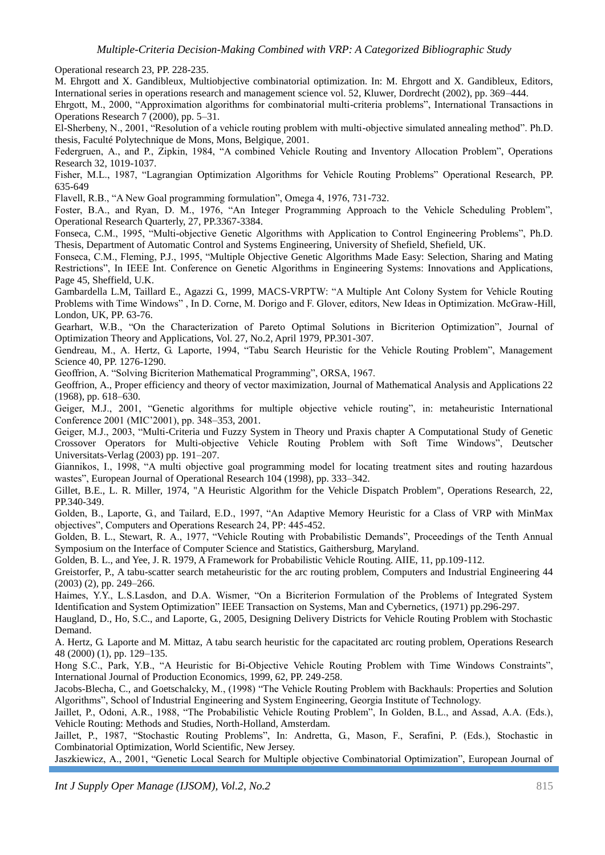Operational research 23, PP. 228-235.

M. Ehrgott and X. Gandibleux, Multiobjective combinatorial optimization. In: M. Ehrgott and X. Gandibleux, Editors, International series in operations research and management science vol. 52, Kluwer, Dordrecht (2002), pp. 369–444.

Ehrgott, M., 2000, "Approximation algorithms for combinatorial multi-criteria problems", International Transactions in Operations Research 7 (2000), pp. 5–31.

El-Sherbeny, N., 2001, "Resolution of a vehicle routing problem with multi-objective simulated annealing method". Ph.D. thesis, Faculté Polytechnique de Mons, Mons, Belgique, 2001.

Federgruen, A., and P., Zipkin, 1984, "A combined Vehicle Routing and Inventory Allocation Problem", Operations Research 32, 1019-1037.

Fisher, M.L., 1987, "Lagrangian Optimization Algorithms for Vehicle Routing Problems" Operational Research, PP. 635-649

Flavell, R.B., "A New Goal programming formulation", Omega 4, 1976, 731-732.

Foster, B.A., and Ryan, D. M., 1976, "An Integer Programming Approach to the Vehicle Scheduling Problem", Operational Research Quarterly, 27, PP.3367-3384.

Fonseca, C.M., 1995, "Multi-objective Genetic Algorithms with Application to Control Engineering Problems", Ph.D. Thesis, Department of Automatic Control and Systems Engineering, University of Shefield, Shefield, UK.

Fonseca, C.M., Fleming, P.J., 1995, "Multiple Objective Genetic Algorithms Made Easy: Selection, Sharing and Mating Restrictions", In IEEE Int. Conference on Genetic Algorithms in Engineering Systems: Innovations and Applications, Page 45, Sheffield, U.K.

Gambardella L.M, Taillard E., Agazzi G., 1999, MACS-VRPTW: "A Multiple Ant Colony System for Vehicle Routing Problems with Time Windows" , In D. Corne, M. Dorigo and F. Glover, editors, New Ideas in Optimization. McGraw-Hill, London, UK, PP. 63-76.

Gearhart, W.B., "On the Characterization of Pareto Optimal Solutions in Bicriterion Optimization", Journal of Optimization Theory and Applications, Vol. 27, No.2, April 1979, PP.301-307.

Gendreau, M., A. Hertz, G. Laporte, 1994, "Tabu Search Heuristic for the Vehicle Routing Problem", Management Science 40, PP. 1276-1290.

Geoffrion, A. "Solving Bicriterion Mathematical Programming", ORSA, 1967.

Geoffrion, A., Proper efficiency and theory of vector maximization, Journal of Mathematical Analysis and Applications 22 (1968), pp. 618–630.

Geiger, M.J., 2001, "Genetic algorithms for multiple objective vehicle routing", in: metaheuristic International Conference 2001 (MIC'2001), pp. 348–353, 2001.

Geiger, M.J., 2003, "Multi-Criteria und Fuzzy System in Theory und Praxis chapter A Computational Study of Genetic Crossover Operators for Multi-objective Vehicle Routing Problem with Soft Time Windows", Deutscher Universitats-Verlag (2003) pp. 191–207.

Giannikos, I., 1998, "A multi objective goal programming model for locating treatment sites and routing hazardous wastes", European Journal of Operational Research 104 (1998), pp. 333–342.

Gillet, B.E., L. R. Miller, 1974, "A Heuristic Algorithm for the Vehicle Dispatch Problem", Operations Research, 22, PP.340-349.

Golden, B., Laporte, G., and Tailard, E.D., 1997, "An Adaptive Memory Heuristic for a Class of VRP with MinMax objectives", Computers and Operations Research 24, PP: 445-452.

Golden, B. L., Stewart, R. A., 1977, "Vehicle Routing with Probabilistic Demands", Proceedings of the Tenth Annual Symposium on the Interface of Computer Science and Statistics, Gaithersburg, Maryland.

Golden, B. L., and Yee, J. R. 1979, A Framework for Probabilistic Vehicle Routing. AIIE, 11, pp.109-112.

Greistorfer, P., A tabu-scatter search metaheuristic for the arc routing problem, Computers and Industrial Engineering 44 (2003) (2), pp. 249–266.

Haimes, Y.Y., L.S.Lasdon, and D.A. Wismer, "On a Bicriterion Formulation of the Problems of Integrated System Identification and System Optimization" IEEE Transaction on Systems, Man and Cybernetics, (1971) pp.296-297.

Haugland, D., Ho, S.C., and Laporte, G., 2005, Designing Delivery Districts for Vehicle Routing Problem with Stochastic Demand.

A. Hertz, G. Laporte and M. Mittaz, A tabu search heuristic for the capacitated arc routing problem, Operations Research 48 (2000) (1), pp. 129–135.

Hong S.C., Park, Y.B., "A Heuristic for Bi-Objective Vehicle Routing Problem with Time Windows Constraints", International Journal of Production Economics, 1999, 62, PP. 249-258.

Jacobs-Blecha, C., and Goetschalcky, M., (1998) "The Vehicle Routing Problem with Backhauls: Properties and Solution Algorithms", School of Industrial Engineering and System Engineering, Georgia Institute of Technology.

Jaillet, P., Odoni, A.R., 1988, "The Probabilistic Vehicle Routing Problem", In Golden, B.L., and Assad, A.A. (Eds.), Vehicle Routing: Methods and Studies, North-Holland, Amsterdam.

Jaillet, P., 1987, "Stochastic Routing Problems", In: Andretta, G., Mason, F., Serafini, P. (Eds.), Stochastic in Combinatorial Optimization, World Scientific, New Jersey.

Jaszkiewicz, A., 2001, "Genetic Local Search for Multiple objective Combinatorial Optimization", European Journal of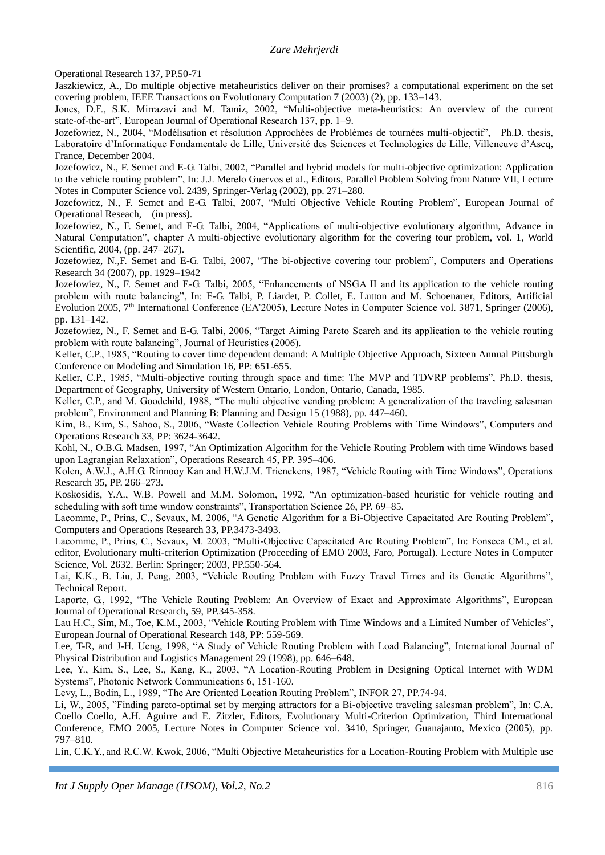Operational Research 137, PP.50-71

Jaszkiewicz, A., Do multiple objective metaheuristics deliver on their promises? a computational experiment on the set covering problem, IEEE Transactions on Evolutionary Computation 7 (2003) (2), pp. 133–143.

Jones, D.F., S.K. Mirrazavi and M. Tamiz, 2002, "Multi-objective meta-heuristics: An overview of the current state-of-the-art", European Journal of Operational Research 137, pp. 1–9.

Jozefowiez, N., 2004, "Modélisation et résolution Approchées de Problèmes de tournées multi-objectif", Ph.D. thesis, Laboratoire d'Informatique Fondamentale de Lille, Université des Sciences et Technologies de Lille, Villeneuve d'Ascq, France, December 2004.

Jozefowiez, N., F. Semet and E-G. Talbi, 2002, "Parallel and hybrid models for multi-objective optimization: Application to the vehicle routing problem", In: J.J. Merelo Guervos et al., Editors, Parallel Problem Solving from Nature VII, Lecture Notes in Computer Science vol. 2439, Springer-Verlag (2002), pp. 271–280.

Jozefowiez, N., F. Semet and E-G. Talbi, 2007, "Multi Objective Vehicle Routing Problem", European Journal of Operational Reseach, (in press).

Jozefowiez, N., F. Semet, and E-G. Talbi, 2004, "Applications of multi-objective evolutionary algorithm, Advance in Natural Computation", chapter A multi-objective evolutionary algorithm for the covering tour problem, vol. 1, World Scientific, 2004, (pp. 247–267).

Jozefowiez, N.,F. Semet and E-G. Talbi, 2007, "The bi-objective covering tour problem", Computers and Operations Research 34 (2007), pp. 1929–1942

Jozefowiez, N., F. Semet and E-G. Talbi, 2005, "Enhancements of NSGA II and its application to the vehicle routing problem with route balancing", In: E-G. Talbi, P. Liardet, P. Collet, E. Lutton and M. Schoenauer, Editors, Artificial Evolution 2005, 7<sup>th</sup> International Conference (EA'2005), Lecture Notes in Computer Science vol. 3871, Springer (2006), pp. 131–142.

Jozefowiez, N., F. Semet and E-G. Talbi, 2006, "Target Aiming Pareto Search and its application to the vehicle routing problem with route balancing", Journal of Heuristics (2006).

Keller, C.P., 1985, "Routing to cover time dependent demand: A Multiple Objective Approach, Sixteen Annual Pittsburgh Conference on Modeling and Simulation 16, PP: 651-655.

Keller, C.P., 1985, "Multi-objective routing through space and time: The MVP and TDVRP problems", Ph.D. thesis, Department of Geography, University of Western Ontario, London, Ontario, Canada, 1985.

Keller, C.P., and M. Goodchild, 1988, "The multi objective vending problem: A generalization of the traveling salesman problem", Environment and Planning B: Planning and Design 15 (1988), pp. 447–460.

Kim, B., Kim, S., Sahoo, S., 2006, "Waste Collection Vehicle Routing Problems with Time Windows", Computers and Operations Research 33, PP: 3624-3642.

Kohl, N., O.B.G. Madsen, 1997, "An Optimization Algorithm for the Vehicle Routing Problem with time Windows based upon Lagrangian Relaxation", Operations Research 45, PP. 395–406.

Kolen, A.W.J., A.H.G. Rinnooy Kan and H.W.J.M. Trienekens, 1987, "Vehicle Routing with Time Windows", Operations Research 35, PP. 266–273.

Koskosidis, Y.A., W.B. Powell and M.M. Solomon, 1992, "An optimization-based heuristic for vehicle routing and scheduling with soft time window constraints", Transportation Science 26, PP. 69–85.

Lacomme, P., Prins, C., Sevaux, M. 2006, "A Genetic Algorithm for a Bi-Objective Capacitated Arc Routing Problem", Computers and Operations Research 33, PP.3473-3493.

Lacomme, P., Prins, C., Sevaux, M. 2003, "Multi-Objective Capacitated Arc Routing Problem", In: Fonseca CM., et al. editor, Evolutionary multi-criterion Optimization (Proceeding of EMO 2003, Faro, Portugal). Lecture Notes in Computer Science, Vol. 2632. Berlin: Springer; 2003, PP.550-564.

Lai, K.K., B. Liu, J. Peng, 2003, "Vehicle Routing Problem with Fuzzy Travel Times and its Genetic Algorithms", Technical Report.

Laporte, G., 1992, "The Vehicle Routing Problem: An Overview of Exact and Approximate Algorithms", European Journal of Operational Research, 59, PP.345-358.

Lau H.C., Sim, M., Toe, K.M., 2003, "Vehicle Routing Problem with Time Windows and a Limited Number of Vehicles", European Journal of Operational Research 148, PP: 559-569.

Lee, T-R, and J-H. Ueng, 1998, "A Study of Vehicle Routing Problem with Load Balancing", International Journal of Physical Distribution and Logistics Management 29 (1998), pp. 646–648.

Lee, Y., Kim, S., Lee, S., Kang, K., 2003, "A Location-Routing Problem in Designing Optical Internet with WDM Systems", Photonic Network Communications 6, 151-160.

Levy, L., Bodin, L., 1989, "The Arc Oriented Location Routing Problem", INFOR 27, PP.74-94.

Li, W., 2005, "Finding pareto-optimal set by merging attractors for a Bi-objective traveling salesman problem", In: C.A. Coello Coello, A.H. Aguirre and E. Zitzler, Editors, Evolutionary Multi-Criterion Optimization, Third International Conference, EMO 2005, Lecture Notes in Computer Science vol. 3410, Springer, Guanajanto, Mexico (2005), pp. 797–810.

Lin, C.K.Y., and R.C.W. Kwok, 2006, "Multi Objective Metaheuristics for a Location-Routing Problem with Multiple use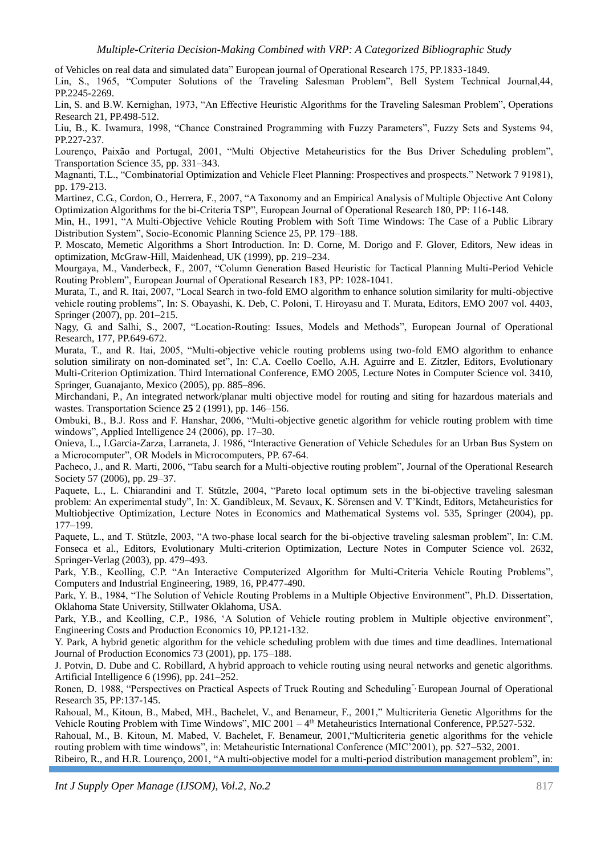of Vehicles on real data and simulated data" European journal of Operational Research 175, PP.1833-1849.

Lin, S., 1965, "Computer Solutions of the Traveling Salesman Problem", Bell System Technical Journal,44, PP.2245-2269.

Lin, S. and B.W. Kernighan, 1973, "An Effective Heuristic Algorithms for the Traveling Salesman Problem", Operations Research 21, PP.498-512.

Liu, B., K. Iwamura, 1998, "Chance Constrained Programming with Fuzzy Parameters", Fuzzy Sets and Systems 94, PP.227-237.

Lourenço, Paixão and Portugal, 2001, "Multi Objective Metaheuristics for the Bus Driver Scheduling problem", Transportation Science 35, pp. 331–343.

Magnanti, T.L., "Combinatorial Optimization and Vehicle Fleet Planning: Prospectives and prospects." Network 7 91981), pp. 179-213.

Martinez, C.G., Cordon, O., Herrera, F., 2007, "A Taxonomy and an Empirical Analysis of Multiple Objective Ant Colony Optimization Algorithms for the bi-Criteria TSP", European Journal of Operational Research 180, PP: 116-148.

Min, H., 1991, "A Multi-Objective Vehicle Routing Problem with Soft Time Windows: The Case of a Public Library Distribution System", Socio-Economic Planning Science 25, PP. 179–188.

P. Moscato, Memetic Algorithms a Short Introduction. In: D. Corne, M. Dorigo and F. Glover, Editors, New ideas in optimization, McGraw-Hill, Maidenhead, UK (1999), pp. 219–234.

Mourgaya, M., Vanderbeck, F., 2007, "Column Generation Based Heuristic for Tactical Planning Multi-Period Vehicle Routing Problem", European Journal of Operational Research 183, PP: 1028-1041.

Murata, T., and R. Itai, 2007, "Local Search in two-fold EMO algorithm to enhance solution similarity for multi-objective vehicle routing problems", In: S. Obayashi, K. Deb, C. Poloni, T. Hiroyasu and T. Murata, Editors, EMO 2007 vol. 4403, Springer (2007), pp. 201–215.

Nagy, G. and Salhi, S., 2007, "Location-Routing: Issues, Models and Methods", European Journal of Operational Research, 177, PP.649-672.

Murata, T., and R. Itai, 2005, "Multi-objective vehicle routing problems using two-fold EMO algorithm to enhance solution similiraty on non-dominated set", In: C.A. Coello Coello, A.H. Aguirre and E. Zitzler, Editors, Evolutionary Multi-Criterion Optimization. Third International Conference, EMO 2005, Lecture Notes in Computer Science vol. 3410, Springer, Guanajanto, Mexico (2005), pp. 885–896.

Mirchandani, P., An integrated network/planar multi objective model for routing and siting for hazardous materials and wastes. Transportation Science **25** 2 (1991), pp. 146–156.

Ombuki, B., B.J. Ross and F. Hanshar, 2006, "Multi-objective genetic algorithm for vehicle routing problem with time windows", Applied Intelligence 24 (2006), pp. 17–30.

Onieva, L., I.Garcia-Zarza, Larraneta, J. 1986, "Interactive Generation of Vehicle Schedules for an Urban Bus System on a Microcomputer", OR Models in Microcomputers, PP. 67-64.

Pacheco, J., and R. Marti, 2006, "Tabu search for a Multi-objective routing problem", Journal of the Operational Research Society 57 (2006), pp. 29–37.

Paquete, L., L. Chiarandini and T. Stützle, 2004, "Pareto local optimum sets in the bi-objective traveling salesman problem: An experimental study", In: X. Gandibleux, M. Sevaux, K. Sörensen and V. T'Kindt, Editors, Metaheuristics for Multiobjective Optimization, Lecture Notes in Economics and Mathematical Systems vol. 535, Springer (2004), pp. 177–199.

Paquete, L., and T. Stützle, 2003, "A two-phase local search for the bi-objective traveling salesman problem", In: C.M. Fonseca et al., Editors, Evolutionary Multi-criterion Optimization, Lecture Notes in Computer Science vol. 2632, Springer-Verlag (2003), pp. 479–493.

Park, Y.B., Keolling, C.P. "An Interactive Computerized Algorithm for Multi-Criteria Vehicle Routing Problems", Computers and Industrial Engineering, 1989, 16, PP.477-490.

Park, Y. B., 1984, "The Solution of Vehicle Routing Problems in a Multiple Objective Environment", Ph.D. Dissertation, Oklahoma State University, Stillwater Oklahoma, USA.

Park, Y.B., and Keolling, C.P., 1986, 'A Solution of Vehicle routing problem in Multiple objective environment", Engineering Costs and Production Economics 10, PP.121-132.

Y. Park, A hybrid genetic algorithm for the vehicle scheduling problem with due times and time deadlines. International Journal of Production Economics 73 (2001), pp. 175–188.

J. Potvin, D. Dube and C. Robillard, A hybrid approach to vehicle routing using neural networks and genetic algorithms. Artificial Intelligence 6 (1996), pp. 241–252.

Ronen, D. 1988, "Perspectives on Practical Aspects of Truck Routing and Scheduling", European Journal of Operational Research 35, PP:137-145.

Rahoual, M., Kitoun, B., Mabed, MH., Bachelet, V., and Benameur, F., 2001," Multicriteria Genetic Algorithms for the Vehicle Routing Problem with Time Windows", MIC 2001 - 4<sup>th</sup> Metaheuristics International Conference, PP.527-532.

Rahoual, M., B. Kitoun, M. Mabed, V. Bachelet, F. Benameur, 2001,"Multicriteria genetic algorithms for the vehicle routing problem with time windows", in: Metaheuristic International Conference (MIC'2001), pp. 527–532, 2001.

Ribeiro, R., and H.R. Lourenço, 2001, "A multi-objective model for a multi-period distribution management problem", in: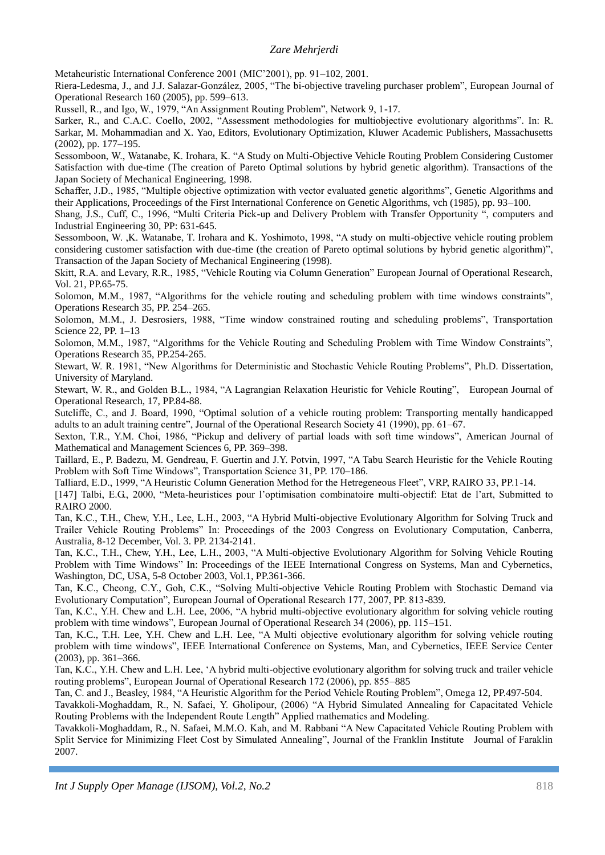Metaheuristic International Conference 2001 (MIC'2001), pp. 91–102, 2001.

Riera-Ledesma, J., and J.J. Salazar-González, 2005, "The bi-objective traveling purchaser problem", European Journal of Operational Research 160 (2005), pp. 599–613.

Russell, R., and Igo, W., 1979, "An Assignment Routing Problem", Network 9, 1-17.

Sarker, R., and C.A.C. Coello, 2002, "Assessment methodologies for multiobjective evolutionary algorithms". In: R. Sarkar, M. Mohammadian and X. Yao, Editors, Evolutionary Optimization, Kluwer Academic Publishers, Massachusetts (2002), pp. 177–195.

Sessomboon, W., Watanabe, K. Irohara, K. "A Study on Multi-Objective Vehicle Routing Problem Considering Customer Satisfaction with due-time (The creation of Pareto Optimal solutions by hybrid genetic algorithm). Transactions of the Japan Society of Mechanical Engineering, 1998.

Schaffer, J.D., 1985, "Multiple objective optimization with vector evaluated genetic algorithms", Genetic Algorithms and their Applications, Proceedings of the First International Conference on Genetic Algorithms, vch (1985), pp. 93–100.

Shang, J.S., Cuff, C., 1996, "Multi Criteria Pick-up and Delivery Problem with Transfer Opportunity ", computers and Industrial Engineering 30, PP: 631-645.

Sessomboon, W. ,K. Watanabe, T. Irohara and K. Yoshimoto, 1998, "A study on multi-objective vehicle routing problem considering customer satisfaction with due-time (the creation of Pareto optimal solutions by hybrid genetic algorithm)", Transaction of the Japan Society of Mechanical Engineering (1998).

Skitt, R.A. and Levary, R.R., 1985, "Vehicle Routing via Column Generation" European Journal of Operational Research, Vol. 21, PP.65-75.

Solomon, M.M., 1987, "Algorithms for the vehicle routing and scheduling problem with time windows constraints", Operations Research 35, PP. 254–265.

Solomon, M.M., J. Desrosiers, 1988, "Time window constrained routing and scheduling problems", Transportation Science 22, PP. 1–13

Solomon, M.M., 1987, "Algorithms for the Vehicle Routing and Scheduling Problem with Time Window Constraints", Operations Research 35, PP.254-265.

Stewart, W. R. 1981, "New Algorithms for Deterministic and Stochastic Vehicle Routing Problems", Ph.D. Dissertation, University of Maryland.

Stewart, W. R., and Golden B.L., 1984, "A Lagrangian Relaxation Heuristic for Vehicle Routing", European Journal of Operational Research, 17, PP.84-88.

Sutcliffe, C., and J. Board, 1990, "Optimal solution of a vehicle routing problem: Transporting mentally handicapped adults to an adult training centre", Journal of the Operational Research Society 41 (1990), pp. 61–67.

Sexton, T.R., Y.M. Choi, 1986, "Pickup and delivery of partial loads with soft time windows", American Journal of Mathematical and Management Sciences 6, PP. 369–398.

Taillard, E., P. Badezu, M. Gendreau, F. Guertin and J.Y. Potvin, 1997, "A Tabu Search Heuristic for the Vehicle Routing Problem with Soft Time Windows", Transportation Science 31, PP. 170–186.

Talliard, E.D., 1999, "A Heuristic Column Generation Method for the Hetregeneous Fleet", VRP, RAIRO 33, PP.1-14.

[147] Talbi, E.G., 2000, "Meta-heuristices pour l'optimisation combinatoire multi-objectif: Etat de l'art, Submitted to RAIRO 2000.

Tan, K.C., T.H., Chew, Y.H., Lee, L.H., 2003, "A Hybrid Multi-objective Evolutionary Algorithm for Solving Truck and Trailer Vehicle Routing Problems" In: Proceedings of the 2003 Congress on Evolutionary Computation, Canberra, Australia, 8-12 December, Vol. 3. PP. 2134-2141.

Tan, K.C., T.H., Chew, Y.H., Lee, L.H., 2003, "A Multi-objective Evolutionary Algorithm for Solving Vehicle Routing Problem with Time Windows" In: Proceedings of the IEEE International Congress on Systems, Man and Cybernetics, Washington, DC, USA, 5-8 October 2003, Vol.1, PP.361-366.

Tan, K.C., Cheong, C.Y., Goh, C.K., "Solving Multi-objective Vehicle Routing Problem with Stochastic Demand via Evolutionary Computation", European Journal of Operational Research 177, 2007, PP. 813-839.

Tan, K.C., Y.H. Chew and L.H. Lee, 2006, "A hybrid multi-objective evolutionary algorithm for solving vehicle routing problem with time windows", European Journal of Operational Research 34 (2006), pp. 115–151.

Tan, K.C., T.H. Lee, Y.H. Chew and L.H. Lee, "A Multi objective evolutionary algorithm for solving vehicle routing problem with time windows", IEEE International Conference on Systems, Man, and Cybernetics, IEEE Service Center (2003), pp. 361–366.

Tan, K.C., Y.H. Chew and L.H. Lee, 'A hybrid multi-objective evolutionary algorithm for solving truck and trailer vehicle routing problems", European Journal of Operational Research 172 (2006), pp. 855–885

Tan, C. and J., Beasley, 1984, "A Heuristic Algorithm for the Period Vehicle Routing Problem", Omega 12, PP.497-504.

Tavakkoli-Moghaddam, R., N. Safaei, Y. Gholipour, (2006) "A Hybrid Simulated Annealing for Capacitated Vehicle Routing Problems with the Independent Route Length" Applied mathematics and Modeling.

Tavakkoli-Moghaddam, R., N. Safaei, M.M.O. Kah, and M. Rabbani "A New Capacitated Vehicle Routing Problem with Split Service for Minimizing Fleet Cost by Simulated Annealing", Journal of the Franklin Institute Journal of Faraklin 2007.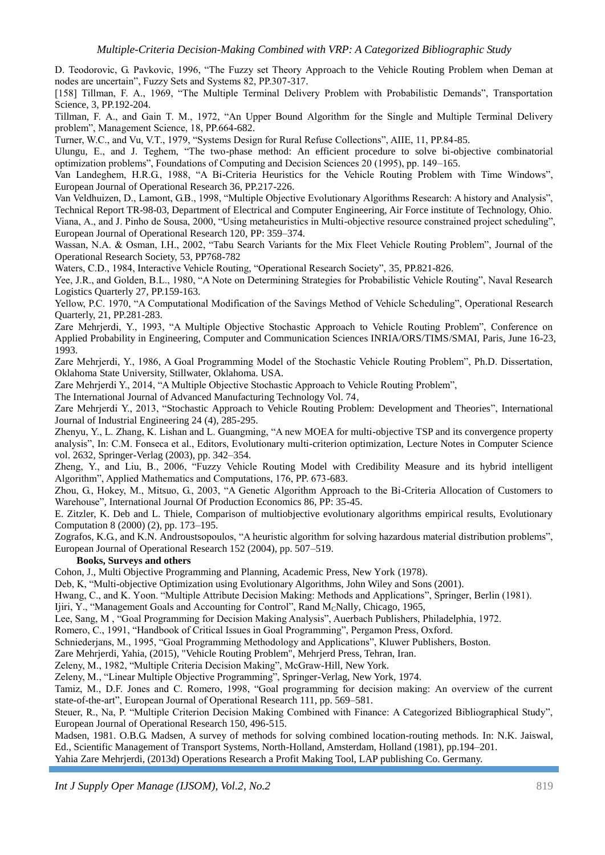D. Teodorovic, G. Pavkovic, 1996, "The Fuzzy set Theory Approach to the Vehicle Routing Problem when Deman at nodes are uncertain", Fuzzy Sets and Systems 82, PP.307-317.

[158] Tillman, F. A., 1969, "The Multiple Terminal Delivery Problem with Probabilistic Demands", Transportation Science, 3, PP.192-204.

Tillman, F. A., and Gain T. M., 1972, "An Upper Bound Algorithm for the Single and Multiple Terminal Delivery problem", Management Science, 18, PP.664-682.

Turner, W.C., and Vu, V.T., 1979, "Systems Design for Rural Refuse Collections", AIIE, 11, PP.84-85.

Ulungu, E., and J. Teghem, "The two-phase method: An efficient procedure to solve bi-objective combinatorial optimization problems", Foundations of Computing and Decision Sciences 20 (1995), pp. 149–165.

Van Landeghem, H.R.G., 1988, "A Bi-Criteria Heuristics for the Vehicle Routing Problem with Time Windows", European Journal of Operational Research 36, PP.217-226.

Van Veldhuizen, D., Lamont, G.B., 1998, "Multiple Objective Evolutionary Algorithms Research: A history and Analysis", Technical Report TR-98-03, Department of Electrical and Computer Engineering, Air Force institute of Technology, Ohio. Viana, A., and J. Pinho de Sousa, 2000, "Using metaheuristics in Multi-objective resource constrained project scheduling", European Journal of Operational Research 120, PP: 359–374.

Wassan, N.A. & Osman, I.H., 2002, "Tabu Search Variants for the Mix Fleet Vehicle Routing Problem", Journal of the Operational Research Society, 53, PP768-782

Waters, C.D., 1984, Interactive Vehicle Routing, "Operational Research Society", 35, PP.821-826.

Yee, J.R., and Golden, B.L., 1980, "A Note on Determining Strategies for Probabilistic Vehicle Routing", Naval Research Logistics Quarterly 27, PP.159-163.

Yellow, P.C. 1970, "A Computational Modification of the Savings Method of Vehicle Scheduling", Operational Research Quarterly, 21, PP.281-283.

Zare Mehrjerdi, Y., 1993, "A Multiple Objective Stochastic Approach to Vehicle Routing Problem", Conference on Applied Probability in Engineering, Computer and Communication Sciences INRIA/ORS/TIMS/SMAI, Paris, June 16-23, 1993.

Zare Mehrjerdi, Y., 1986, A Goal Programming Model of the Stochastic Vehicle Routing Problem", Ph.D. Dissertation, Oklahoma State University, Stillwater, Oklahoma. USA.

Zare Mehrjerdi Y., 2014, "A Multiple Objective Stochastic Approach to Vehicle Routing Problem",

The International Journal of Advanced Manufacturing Technology Vol. 74,

Zare Mehrjerdi Y., 2013, ["Stochastic Approach to Vehicle Routing Problem: Development and Theories"](https://scholar.google.com/citations?view_op=view_citation&hl=en&user=L11pDoUAAAAJ&cstart=60&citation_for_view=L11pDoUAAAAJ:3fE2CSJIrl8C), International Journal of Industrial Engineering 24 (4), 285-295.

Zhenyu, Y., L. Zhang, K. Lishan and L. Guangming, "A new MOEA for multi-objective TSP and its convergence property analysis", In: C.M. Fonseca et al., Editors, Evolutionary multi-criterion optimization, Lecture Notes in Computer Science vol. 2632, Springer-Verlag (2003), pp. 342–354.

Zheng, Y., and Liu, B., 2006, "Fuzzy Vehicle Routing Model with Credibility Measure and its hybrid intelligent Algorithm", Applied Mathematics and Computations, 176, PP. 673-683.

Zhou, G., Hokey, M., Mitsuo, G., 2003, "A Genetic Algorithm Approach to the Bi-Criteria Allocation of Customers to Warehouse", International Journal Of Production Economics 86, PP: 35-45.

E. Zitzler, K. Deb and L. Thiele, Comparison of multiobjective evolutionary algorithms empirical results, Evolutionary Computation 8 (2000) (2), pp. 173–195.

Zografos, K.G., and K.N. Androustsopoulos, "A heuristic algorithm for solving hazardous material distribution problems", European Journal of Operational Research 152 (2004), pp. 507–519.

#### **Books, Surveys and others**

Cohon, J., Multi Objective Programming and Planning, Academic Press, New York (1978).

Deb, K, "Multi-objective Optimization using Evolutionary Algorithms, John Wiley and Sons (2001).

Hwang, C., and K. Yoon. "Multiple Attribute Decision Making: Methods and Applications", Springer, Berlin (1981).

Ijiri, Y., "Management Goals and Accounting for Control", Rand MCNally, Chicago, 1965,

Lee, Sang, M , "Goal Programming for Decision Making Analysis", Auerbach Publishers, Philadelphia, 1972.

Romero, C., 1991, "Handbook of Critical Issues in Goal Programming", Pergamon Press, Oxford.

Schniederjans, M., 1995, "Goal Programming Methodology and Applications", Kluwer Publishers, Boston.

Zare Mehrjerdi, Yahia, (2015), "Vehicle Routing Problem", Mehrjerd Press, Tehran, Iran.

Zeleny, M., 1982, "Multiple Criteria Decision Making", McGraw-Hill, New York.

Zeleny, M., "Linear Multiple Objective Programming", Springer-Verlag, New York, 1974.

Tamiz, M., D.F. Jones and C. Romero, 1998, "Goal programming for decision making: An overview of the current state-of-the-art", European Journal of Operational Research 111, pp. 569–581.

Steuer, R., Na, P. "Multiple Criterion Decision Making Combined with Finance: A Categorized Bibliographical Study", European Journal of Operational Research 150, 496-515.

Madsen, 1981. O.B.G. Madsen, A survey of methods for solving combined location-routing methods. In: N.K. Jaiswal, Ed., Scientific Management of Transport Systems, North-Holland, Amsterdam, Holland (1981), pp.194–201.

Yahia Zare Mehrjerdi, (2013d) Operations Research a Profit Making Tool, LAP publishing Co. Germany.